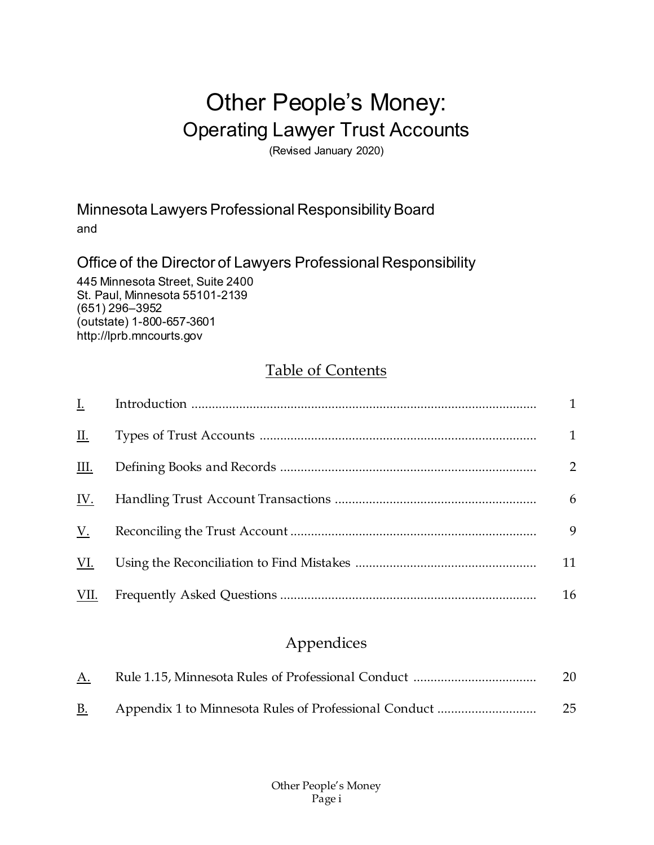# Other People's Money: Operating Lawyer Trust Accounts

(Revised January 2020)

Minnesota Lawyers Professional Responsibility Board and

Office of the Director of Lawyers Professional Responsibility

445 Minnesota Street, Suite 2400 St. Paul, Minnesota 55101-2139 (651) 296–3952 (outstate) 1-800-657-3601 http://lprb.mncourts.gov

# [Table of Contents](#page-0-0)

<span id="page-0-0"></span>

| <u>I.</u>  |              |
|------------|--------------|
| Ш.         | $\mathbf{1}$ |
| III.       | 2            |
| <u>IV.</u> | 6            |
| V.         | 9            |
| VI.        | 11           |
| VII.       | 16           |

# Appendices

| <u>A.</u> | 20 |
|-----------|----|
| <u>B.</u> | 25 |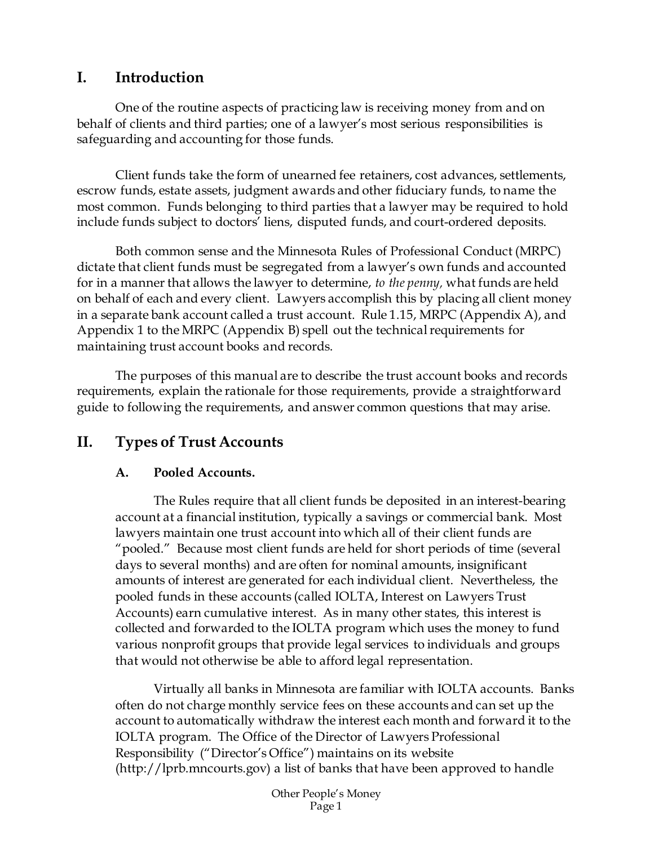# <span id="page-1-0"></span>**I. Introduction**

One of the routine aspects of practicing law is receiving money from and on behalf of clients and third parties; one of a lawyer's most serious responsibilities is safeguarding and accounting for those funds.

Client funds take the form of unearned fee retainers, cost advances, settlements, escrow funds, estate assets, judgment awards and other fiduciary funds, to name the most common. Funds belonging to third parties that a lawyer may be required to hold include funds subject to doctors' liens, disputed funds, and court-ordered deposits.

Both common sense and the Minnesota Rules of Professional Conduct (MRPC) dictate that client funds must be segregated from a lawyer's own funds and accounted for in a manner that allows the lawyer to determine, *to the penny,* what funds are held on behalf of each and every client. Lawyers accomplish this by placing all client money in a separate bank account called a trust account. Rule 1.15, MRPC (Appendix A), and Appendix 1 to the MRPC (Appendix B) spell out the technical requirements for maintaining trust account books and records.

The purposes of this manual are to describe the trust account books and records requirements, explain the rationale for those requirements, provide a straightforward guide to following the requirements, and answer common questions that may arise.

# <span id="page-1-1"></span>**II. Types of Trust Accounts**

#### **A. Pooled Accounts.**

The Rules require that all client funds be deposited in an interest-bearing account at a financial institution, typically a savings or commercial bank. Most lawyers maintain one trust account into which all of their client funds are "pooled." Because most client funds are held for short periods of time (several days to several months) and are often for nominal amounts, insignificant amounts of interest are generated for each individual client. Nevertheless, the pooled funds in these accounts (called IOLTA, Interest on Lawyers Trust Accounts) earn cumulative interest. As in many other states, this interest is collected and forwarded to the IOLTA program which uses the money to fund various nonprofit groups that provide legal services to individuals and groups that would not otherwise be able to afford legal representation.

Virtually all banks in Minnesota are familiar with IOLTA accounts. Banks often do not charge monthly service fees on these accounts and can set up the account to automatically withdraw the interest each month and forward it to the IOLTA program. The Office of the Director of Lawyers Professional Responsibility ("Director's Office") maintains on its website [\(http://lprb.mncourts.gov\)](http://lprb.mncourts.gov/) a list of banks that have been approved to handle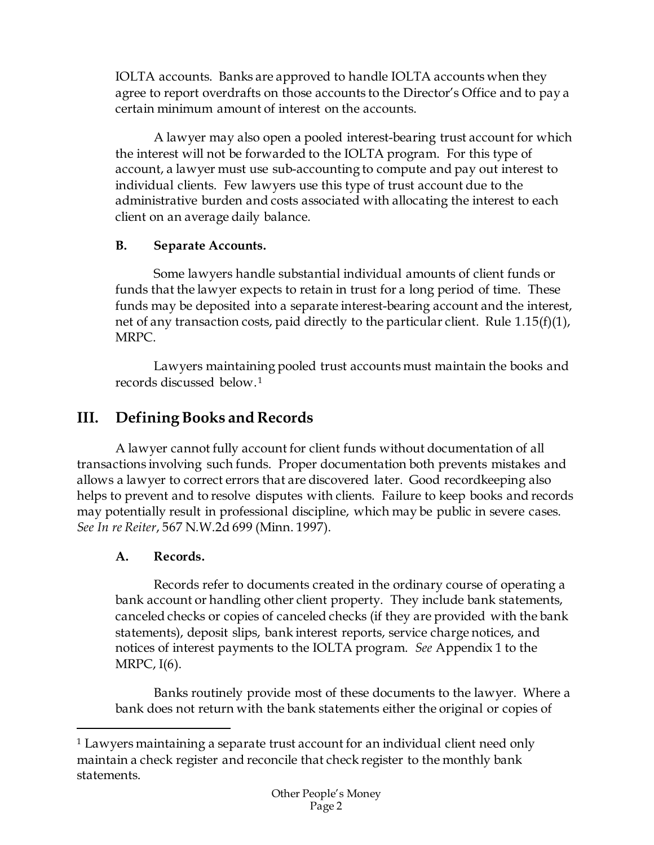IOLTA accounts. Banks are approved to handle IOLTA accounts when they agree to report overdrafts on those accounts to the Director's Office and to pay a certain minimum amount of interest on the accounts.

A lawyer may also open a pooled interest-bearing trust account for which the interest will not be forwarded to the IOLTA program. For this type of account, a lawyer must use sub-accounting to compute and pay out interest to individual clients. Few lawyers use this type of trust account due to the administrative burden and costs associated with allocating the interest to each client on an average daily balance.

### **B. Separate Accounts.**

Some lawyers handle substantial individual amounts of client funds or funds that the lawyer expects to retain in trust for a long period of time. These funds may be deposited into a separate interest-bearing account and the interest, net of any transaction costs, paid directly to the particular client. Rule 1.15(f)(1), MRPC.

Lawyers maintaining pooled trust accounts must maintain the books and records discussed below.[1](#page-2-1)

# <span id="page-2-0"></span>**III. Defining Books and Records**

A lawyer cannot fully account for client funds without documentation of all transactions involving such funds. Proper documentation both prevents mistakes and allows a lawyer to correct errors that are discovered later. Good recordkeeping also helps to prevent and to resolve disputes with clients. Failure to keep books and records may potentially result in professional discipline, which may be public in severe cases. *See In re Reiter*, 567 N.W.2d 699 (Minn. 1997).

### **A. Records.**

 $\overline{a}$ 

Records refer to documents created in the ordinary course of operating a bank account or handling other client property. They include bank statements, canceled checks or copies of canceled checks (if they are provided with the bank statements), deposit slips, bank interest reports, service charge notices, and notices of interest payments to the IOLTA program. *See* Appendix 1 to the MRPC, I(6).

Banks routinely provide most of these documents to the lawyer. Where a bank does not return with the bank statements either the original or copies of

<span id="page-2-1"></span><sup>&</sup>lt;sup>1</sup> Lawyers maintaining a separate trust account for an individual client need only maintain a check register and reconcile that check register to the monthly bank statements.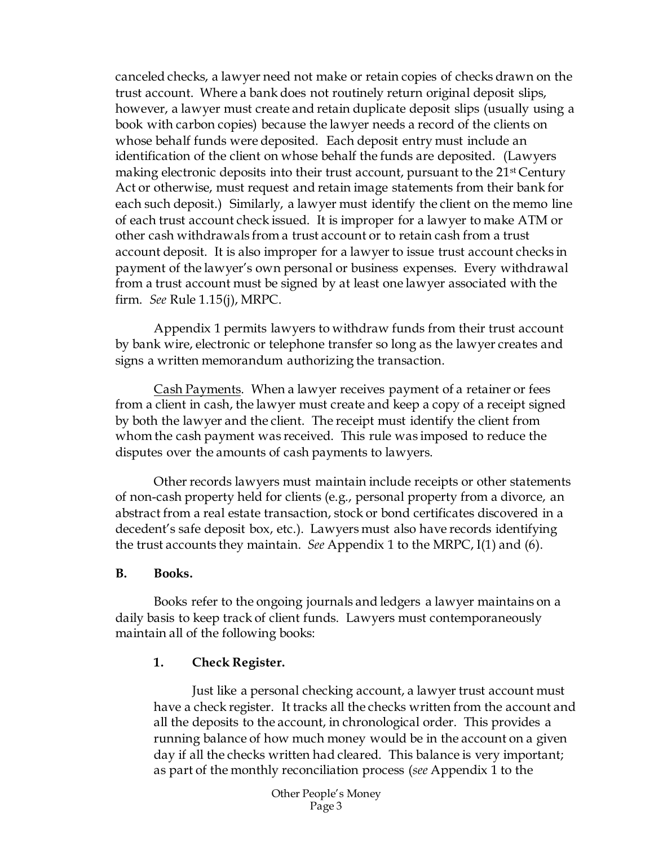canceled checks, a lawyer need not make or retain copies of checks drawn on the trust account. Where a bank does not routinely return original deposit slips, however, a lawyer must create and retain duplicate deposit slips (usually using a book with carbon copies) because the lawyer needs a record of the clients on whose behalf funds were deposited. Each deposit entry must include an identification of the client on whose behalf the funds are deposited. (Lawyers making electronic deposits into their trust account, pursuant to the 21<sup>st</sup> Century Act or otherwise, must request and retain image statements from their bank for each such deposit.) Similarly, a lawyer must identify the client on the memo line of each trust account check issued. It is improper for a lawyer to make ATM or other cash withdrawals from a trust account or to retain cash from a trust account deposit. It is also improper for a lawyer to issue trust account checks in payment of the lawyer's own personal or business expenses. Every withdrawal from a trust account must be signed by at least one lawyer associated with the firm. *See* Rule 1.15(j), MRPC.

Appendix 1 permits lawyers to withdraw funds from their trust account by bank wire, electronic or telephone transfer so long as the lawyer creates and signs a written memorandum authorizing the transaction.

Cash Payments. When a lawyer receives payment of a retainer or fees from a client in cash, the lawyer must create and keep a copy of a receipt signed by both the lawyer and the client. The receipt must identify the client from whom the cash payment was received. This rule was imposed to reduce the disputes over the amounts of cash payments to lawyers.

Other records lawyers must maintain include receipts or other statements of non-cash property held for clients (e.g., personal property from a divorce, an abstract from a real estate transaction, stock or bond certificates discovered in a decedent's safe deposit box, etc.). Lawyers must also have records identifying the trust accounts they maintain. *See* Appendix 1 to the MRPC, I(1) and (6).

#### **B. Books.**

Books refer to the ongoing journals and ledgers a lawyer maintains on a daily basis to keep track of client funds. Lawyers must contemporaneously maintain all of the following books:

#### **1. Check Register.**

Just like a personal checking account, a lawyer trust account must have a check register. It tracks all the checks written from the account and all the deposits to the account, in chronological order. This provides a running balance of how much money would be in the account on a given day if all the checks written had cleared. This balance is very important; as part of the monthly reconciliation process (*see* Appendix 1 to the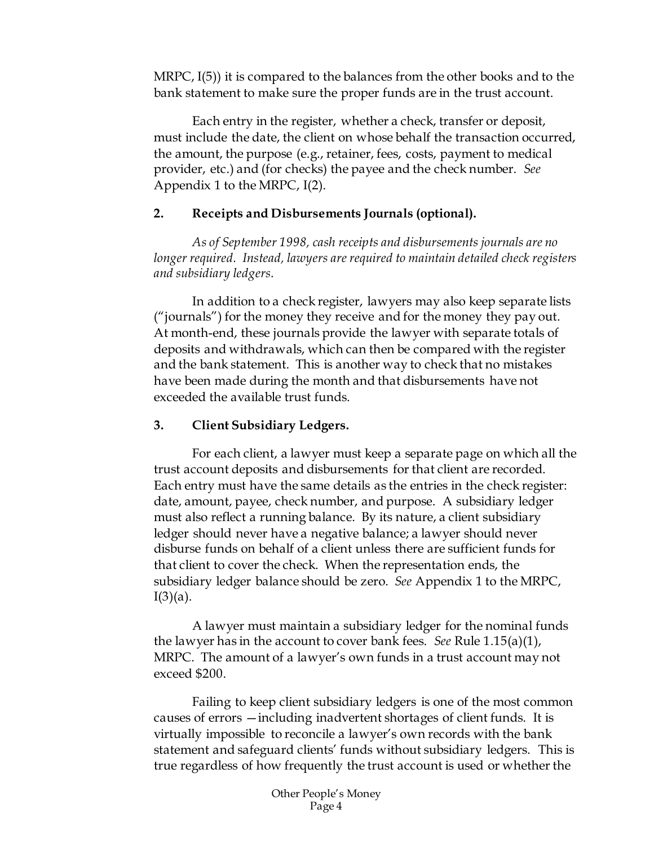MRPC, I(5)) it is compared to the balances from the other books and to the bank statement to make sure the proper funds are in the trust account.

Each entry in the register, whether a check, transfer or deposit, must include the date, the client on whose behalf the transaction occurred, the amount, the purpose (e.g., retainer, fees, costs, payment to medical provider, etc.) and (for checks) the payee and the check number. *See* Appendix 1 to the MRPC, I(2).

#### **2. Receipts and Disbursements Journals (optional).**

*As of September 1998, cash receipts and disbursements journals are no longer required. Instead, lawyers are required to maintain detailed check registers and subsidiary ledgers.*

In addition to a check register, lawyers may also keep separate lists ("journals") for the money they receive and for the money they pay out. At month-end, these journals provide the lawyer with separate totals of deposits and withdrawals, which can then be compared with the register and the bank statement. This is another way to check that no mistakes have been made during the month and that disbursements have not exceeded the available trust funds.

#### **3. Client Subsidiary Ledgers.**

For each client, a lawyer must keep a separate page on which all the trust account deposits and disbursements for that client are recorded. Each entry must have the same details as the entries in the check register: date, amount, payee, check number, and purpose. A subsidiary ledger must also reflect a running balance. By its nature, a client subsidiary ledger should never have a negative balance; a lawyer should never disburse funds on behalf of a client unless there are sufficient funds for that client to cover the check. When the representation ends, the subsidiary ledger balance should be zero. *See* Appendix 1 to the MRPC,  $I(3)(a)$ .

A lawyer must maintain a subsidiary ledger for the nominal funds the lawyer has in the account to cover bank fees. *See* Rule 1.15(a)(1), MRPC. The amount of a lawyer's own funds in a trust account may not exceed \$200.

Failing to keep client subsidiary ledgers is one of the most common causes of errors —including inadvertent shortages of client funds. It is virtually impossible to reconcile a lawyer's own records with the bank statement and safeguard clients' funds without subsidiary ledgers. This is true regardless of how frequently the trust account is used or whether the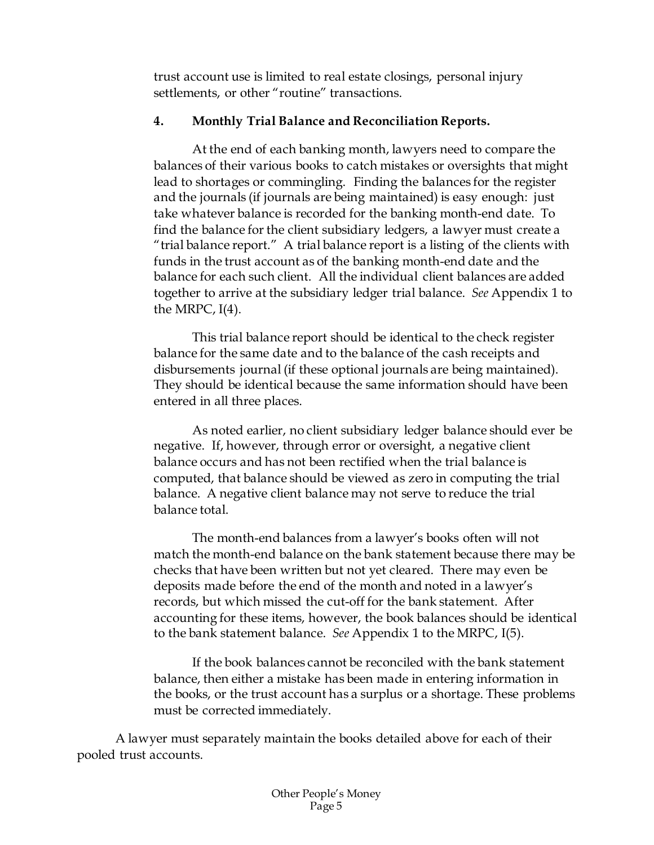trust account use is limited to real estate closings, personal injury settlements, or other "routine" transactions.

#### **4. Monthly Trial Balance and Reconciliation Reports.**

At the end of each banking month, lawyers need to compare the balances of their various books to catch mistakes or oversights that might lead to shortages or commingling. Finding the balances for the register and the journals (if journals are being maintained) is easy enough: just take whatever balance is recorded for the banking month-end date. To find the balance for the client subsidiary ledgers, a lawyer must create a "trial balance report." A trial balance report is a listing of the clients with funds in the trust account as of the banking month-end date and the balance for each such client. All the individual client balances are added together to arrive at the subsidiary ledger trial balance. *See* Appendix 1 to the MRPC,  $I(4)$ .

This trial balance report should be identical to the check register balance for the same date and to the balance of the cash receipts and disbursements journal (if these optional journals are being maintained). They should be identical because the same information should have been entered in all three places.

As noted earlier, no client subsidiary ledger balance should ever be negative. If, however, through error or oversight, a negative client balance occurs and has not been rectified when the trial balance is computed, that balance should be viewed as zero in computing the trial balance. A negative client balance may not serve to reduce the trial balance total.

The month-end balances from a lawyer's books often will not match the month-end balance on the bank statement because there may be checks that have been written but not yet cleared. There may even be deposits made before the end of the month and noted in a lawyer's records, but which missed the cut-off for the bank statement. After accounting for these items, however, the book balances should be identical to the bank statement balance. *See* Appendix 1 to the MRPC, I(5).

If the book balances cannot be reconciled with the bank statement balance, then either a mistake has been made in entering information in the books, or the trust account has a surplus or a shortage. These problems must be corrected immediately.

A lawyer must separately maintain the books detailed above for each of their pooled trust accounts.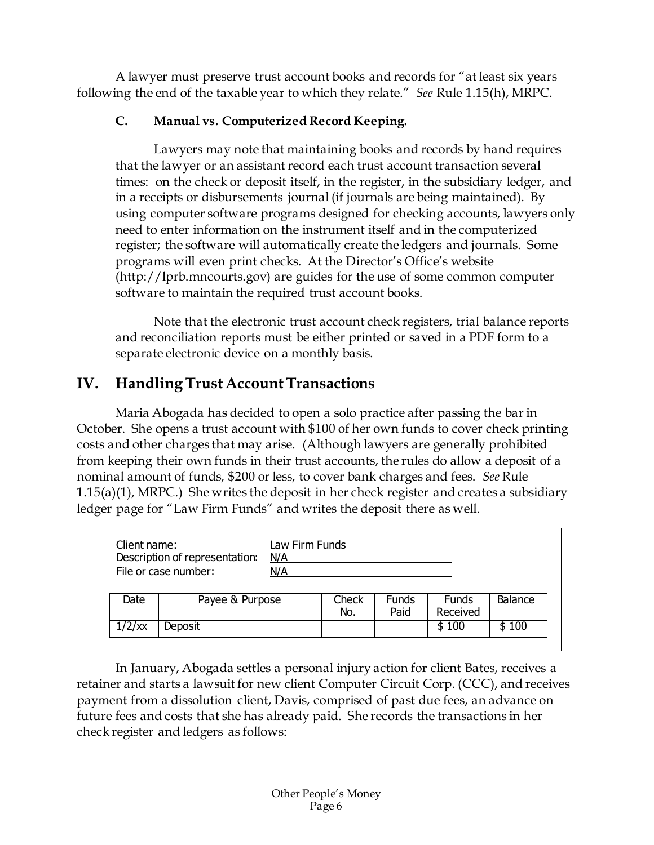A lawyer must preserve trust account books and records for "at least six years following the end of the taxable year to which they relate." *See* Rule 1.15(h), MRPC.

### **C. Manual vs. Computerized Record Keeping.**

Lawyers may note that maintaining books and records by hand requires that the lawyer or an assistant record each trust account transaction several times: on the check or deposit itself, in the register, in the subsidiary ledger, and in a receipts or disbursements journal (if journals are being maintained). By using computer software programs designed for checking accounts, lawyers only need to enter information on the instrument itself and in the computerized register; the software will automatically create the ledgers and journals. Some programs will even print checks. At the Director's Office's website [\(http://lprb.mncourts.gov\)](http://lprb.mncourts.gov/) are guides for the use of some common computer software to maintain the required trust account books.

Note that the electronic trust account check registers, trial balance reports and reconciliation reports must be either printed or saved in a PDF form to a separate electronic device on a monthly basis.

# <span id="page-6-0"></span>**IV. Handling Trust Account Transactions**

Maria Abogada has decided to open a solo practice after passing the bar in October. She opens a trust account with \$100 of her own funds to cover check printing costs and other charges that may arise. (Although lawyers are generally prohibited from keeping their own funds in their trust accounts, the rules do allow a deposit of a nominal amount of funds, \$200 or less, to cover bank charges and fees. *See* Rule 1.15(a)(1), MRPC.) She writes the deposit in her check register and creates a subsidiary ledger page for "Law Firm Funds" and writes the deposit there as well.

| Client name: | Description of representation:<br>File or case number: | Law Firm Funds<br>N/A<br>N/A |              |                      |                   |         |
|--------------|--------------------------------------------------------|------------------------------|--------------|----------------------|-------------------|---------|
| Date         | Payee & Purpose                                        |                              | Check<br>No. | <b>Funds</b><br>Paid | Funds<br>Received | Balance |
|              |                                                        |                              |              |                      | \$100             | \$100   |

In January, Abogada settles a personal injury action for client Bates, receives a retainer and starts a lawsuit for new client Computer Circuit Corp. (CCC), and receives payment from a dissolution client, Davis, comprised of past due fees, an advance on future fees and costs that she has already paid. She records the transactions in her check register and ledgers as follows: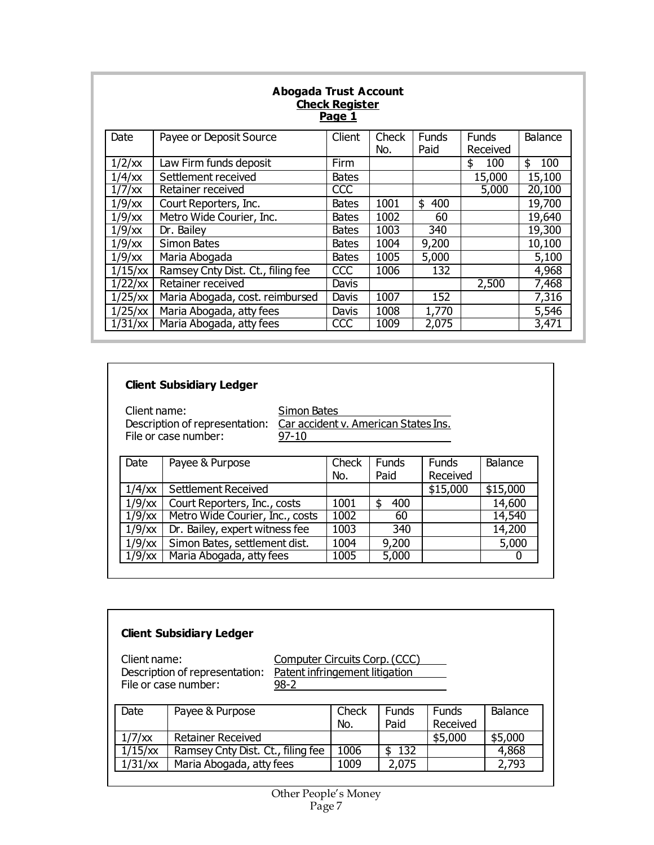| <b>Abogada Trust Account</b><br><b>Check Register</b><br><u>Page 1</u> |                                   |              |       |              |              |           |  |  |
|------------------------------------------------------------------------|-----------------------------------|--------------|-------|--------------|--------------|-----------|--|--|
| Date                                                                   | Payee or Deposit Source           | Client       | Check | <b>Funds</b> | <b>Funds</b> | Balance   |  |  |
|                                                                        |                                   |              | No.   | Paid         | Received     |           |  |  |
| $1/2$ /xx                                                              | Law Firm funds deposit            | Firm         |       |              | 100<br>\$    | \$<br>100 |  |  |
| $1/4$ / $\chi$                                                         | Settlement received               | <b>Bates</b> |       |              | 15,000       | 15,100    |  |  |
| $1/7$ /xx                                                              | Retainer received                 | CCC          |       |              | 5,000        | 20,100    |  |  |
| $1/9$ /xx                                                              | Court Reporters, Inc.             | <b>Bates</b> | 1001  | \$<br>400    |              | 19,700    |  |  |
| $1/9$ /xx                                                              | Metro Wide Courier, Inc.          | <b>Bates</b> | 1002  | 60           |              | 19,640    |  |  |
| $1/9$ /xx                                                              | Dr. Bailey                        | <b>Bates</b> | 1003  | 340          |              | 19,300    |  |  |
| $1/9$ /xx                                                              | <b>Simon Bates</b>                | <b>Bates</b> | 1004  | 9,200        |              | 10,100    |  |  |
| $1/9$ /xx                                                              | Maria Abogada                     | <b>Bates</b> | 1005  | 5,000        |              | 5,100     |  |  |
| 1/15/xx                                                                | Ramsey Cnty Dist. Ct., filing fee | <b>CCC</b>   | 1006  | 132          |              | 4,968     |  |  |
| 1/22/xx                                                                | Retainer received                 | Davis        |       |              | 2,500        | 7,468     |  |  |
| 1/25/xx                                                                | Maria Abogada, cost. reimbursed   | Davis        | 1007  | 152          |              | 7,316     |  |  |
| 1/25/xx                                                                | Maria Abogada, atty fees          | Davis        | 1008  | 1,770        |              | 5,546     |  |  |
| 1/31/xx                                                                | Maria Abogada, atty fees          | CCC          | 1009  | 2,075        |              | 3,471     |  |  |

### **Client Subsidiary Ledger**

Client name: Simon Bates File or case number:  $\qquad \qquad \frac{97-10}{}$ 

Description of representation: Car accident v. American States Ins.

| Payee & Purpose                                     | Check | <b>Funds</b> | <b>Funds</b> | Balance  |
|-----------------------------------------------------|-------|--------------|--------------|----------|
|                                                     |       |              |              |          |
| <b>Settlement Received</b>                          |       |              | \$15,000     | \$15,000 |
| $1/9$ / $\times$<br>Court Reporters, Inc., costs    | 1001  | 400          |              | 14,600   |
| Metro Wide Courier, Inc., costs<br>$1/9$ / $\times$ | 1002  | 60           |              | 14,540   |
| Dr. Bailey, expert witness fee                      | 1003  | 340          |              | 14,200   |
| Simon Bates, settlement dist.                       | 1004  | 9,200        |              | 5,000    |
| Maria Abogada, atty fees<br>$1/9$ /xx               | 1005  | 5,000        |              | 0        |
|                                                     |       | No.          | Paid         | Received |

| <b>Client Subsidiary Ledger</b>                                                                                                                       |                                   |              |                      |                          |         |  |  |  |
|-------------------------------------------------------------------------------------------------------------------------------------------------------|-----------------------------------|--------------|----------------------|--------------------------|---------|--|--|--|
| Client name:<br>Computer Circuits Corp. (CCC)<br>Patent infringement litigation<br>Description of representation:<br>File or case number:<br>$98 - 2$ |                                   |              |                      |                          |         |  |  |  |
| Date                                                                                                                                                  | Payee & Purpose                   | Check<br>No. | <b>Funds</b><br>Paid | <b>Funds</b><br>Received | Balance |  |  |  |
| $1/7$ /xx                                                                                                                                             | <b>Retainer Received</b>          |              |                      | \$5,000                  | \$5,000 |  |  |  |
| 1/15/xx                                                                                                                                               | Ramsey Cnty Dist. Ct., filing fee | 1006         | <b>132</b><br>\$     |                          | 4,868   |  |  |  |
| 1/31/xx                                                                                                                                               | Maria Abogada, atty fees          | 1009         | 2,075                |                          | 2,793   |  |  |  |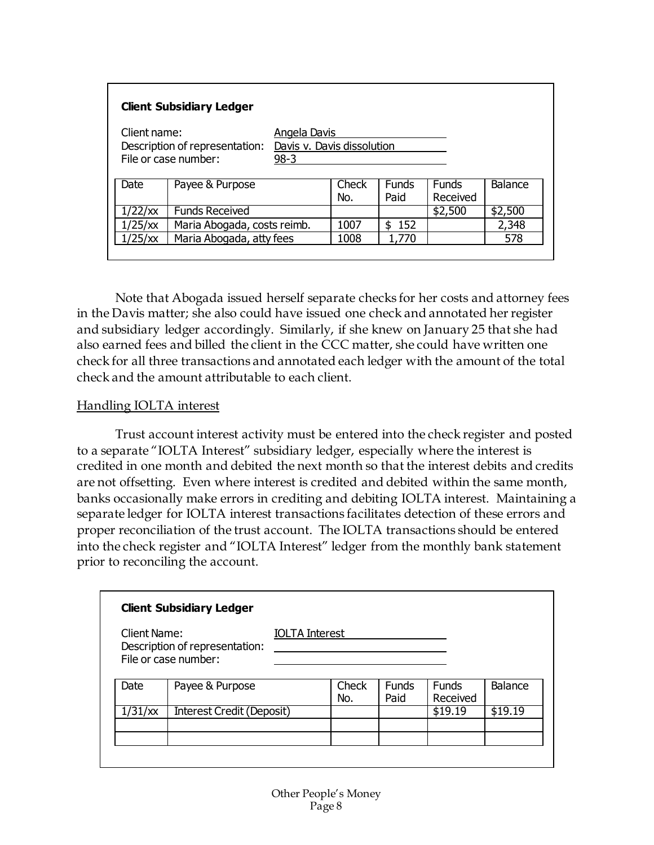| <b>Client Subsidiary Ledger</b>                                                                                                       |                             |      |              |                      |                          |         |  |  |
|---------------------------------------------------------------------------------------------------------------------------------------|-----------------------------|------|--------------|----------------------|--------------------------|---------|--|--|
| Client name:<br><b>Angela Davis</b><br>Davis v. Davis dissolution<br>Description of representation:<br>File or case number:<br>$98-3$ |                             |      |              |                      |                          |         |  |  |
| Date                                                                                                                                  | Payee & Purpose             |      | Check<br>No. | <b>Funds</b><br>Paid | <b>Funds</b><br>Received | Balance |  |  |
| 1/22/xx                                                                                                                               | <b>Funds Received</b>       |      |              |                      | \$2,500                  | \$2,500 |  |  |
| 1/25/xx                                                                                                                               | Maria Abogada, costs reimb. |      | 1007         | 152<br>\$            |                          | 2,348   |  |  |
| 1/25/xx                                                                                                                               | Maria Abogada, atty fees    | 1008 | 1,770        |                      | 578                      |         |  |  |

Note that Abogada issued herself separate checks for her costs and attorney fees in the Davis matter; she also could have issued one check and annotated her register and subsidiary ledger accordingly. Similarly, if she knew on January 25 that she had also earned fees and billed the client in the CCC matter, she could have written one check for all three transactions and annotated each ledger with the amount of the total check and the amount attributable to each client.

#### Handling IOLTA interest

Trust account interest activity must be entered into the check register and posted to a separate "IOLTA Interest" subsidiary ledger, especially where the interest is credited in one month and debited the next month so that the interest debits and credits are not offsetting. Even where interest is credited and debited within the same month, banks occasionally make errors in crediting and debiting IOLTA interest. Maintaining a separate ledger for IOLTA interest transactions facilitates detection of these errors and proper reconciliation of the trust account. The IOLTA transactions should be entered into the check register and "IOLTA Interest" ledger from the monthly bank statement prior to reconciling the account.

|                     | <b>Client Subsidiary Ledger</b>                        |                       |              |               |                          |         |
|---------------------|--------------------------------------------------------|-----------------------|--------------|---------------|--------------------------|---------|
| <b>Client Name:</b> | Description of representation:<br>File or case number: | <b>IOLTA Interest</b> |              |               |                          |         |
| Date                | Payee & Purpose                                        |                       | Check<br>No. | Funds<br>Paid | <b>Funds</b><br>Received | Balance |
| 1/31/xx             | <b>Interest Credit (Deposit)</b>                       |                       |              |               | \$19.19                  | \$19.19 |
|                     |                                                        |                       |              |               |                          |         |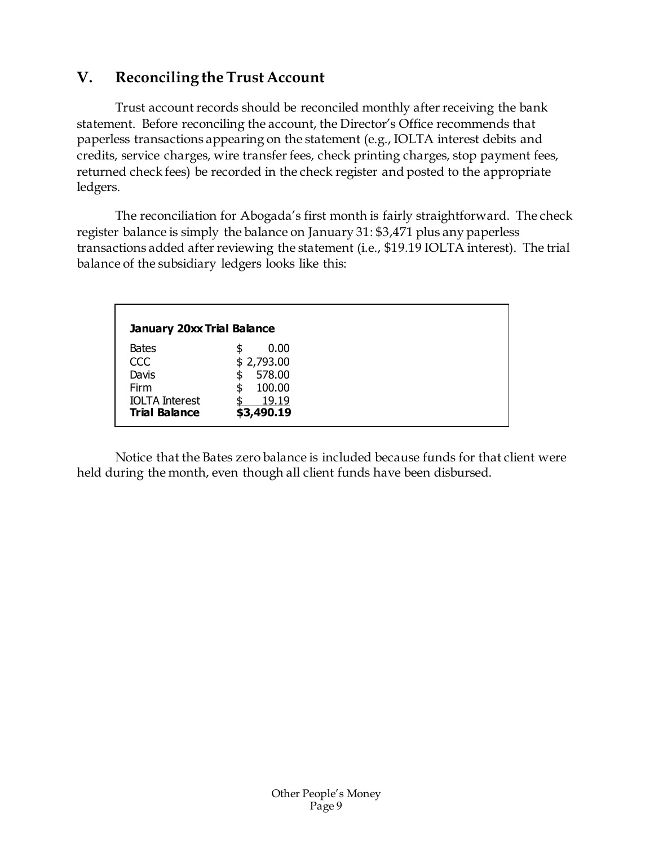# <span id="page-9-0"></span>**V. Reconciling the Trust Account**

Trust account records should be reconciled monthly after receiving the bank statement. Before reconciling the account, the Director's Office recommends that paperless transactions appearing on the statement (e.g., IOLTA interest debits and credits, service charges, wire transfer fees, check printing charges, stop payment fees, returned check fees) be recorded in the check register and posted to the appropriate ledgers.

The reconciliation for Abogada's first month is fairly straightforward. The check register balance is simply the balance on January 31: \$3,471 plus any paperless transactions added after reviewing the statement (i.e., \$19.19 IOLTA interest). The trial balance of the subsidiary ledgers looks like this:

| <b>January 20xx Trial Balance</b>                                                            |                                                                                |
|----------------------------------------------------------------------------------------------|--------------------------------------------------------------------------------|
| <b>Bates</b><br><b>CCC</b><br>Davis<br>Firm<br><b>IOLTA Interest</b><br><b>Trial Balance</b> | 0.00<br>\$<br>\$2,793.00<br>578.00<br>S<br>100.00<br>\$<br>19.19<br>\$3,490.19 |

Notice that the Bates zero balance is included because funds for that client were held during the month, even though all client funds have been disbursed.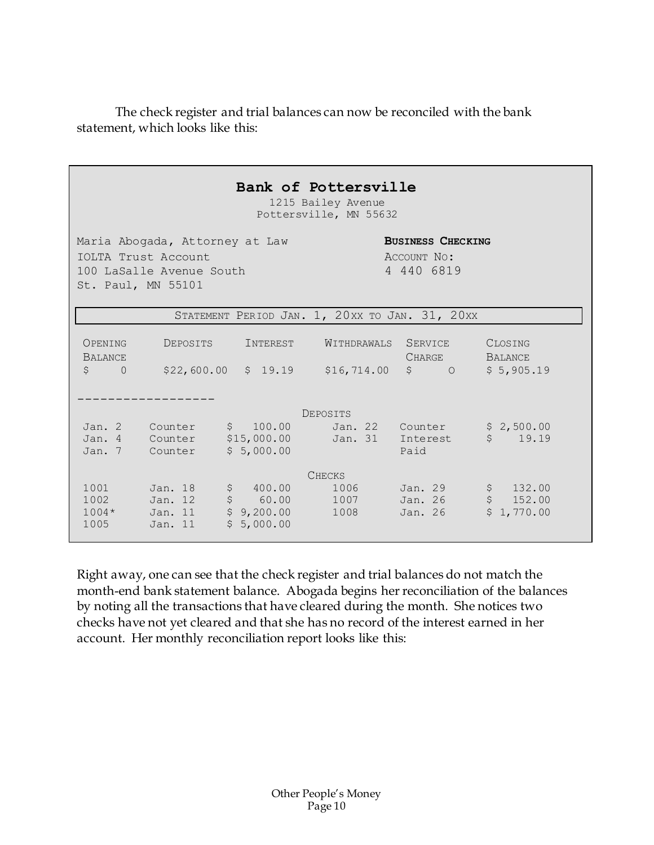The check register and trial balances can now be reconciled with the bank statement, which looks like this:

|                                                                                                                                                                  |                                          | Bank of Pottersville                                         | 1215 Bailey Avenue<br>Pottersville, MN 55632 |                                             |                                         |  |
|------------------------------------------------------------------------------------------------------------------------------------------------------------------|------------------------------------------|--------------------------------------------------------------|----------------------------------------------|---------------------------------------------|-----------------------------------------|--|
| Maria Abogada, Attorney at Law<br><b>BUSINESS CHECKING</b><br>IOLTA Trust Account<br>ACCOUNT NO:<br>4 440 6819<br>100 LaSalle Avenue South<br>St. Paul, MN 55101 |                                          |                                                              |                                              |                                             |                                         |  |
|                                                                                                                                                                  |                                          | STATEMENT PERIOD JAN. 1, 20XX TO JAN. 31, 20XX               |                                              |                                             |                                         |  |
| OPENING<br><b>BALANCE</b><br>$\uparrow$<br>$\Omega$                                                                                                              | DEPOSITS                                 | INTEREST<br>\$22,600.00 \$19.19 \$16,714.00 \$0              | WITHDRAWALS                                  | SERVICE<br><b>CHARGE</b>                    | CLOSING<br><b>BALANCE</b><br>\$5,905.19 |  |
|                                                                                                                                                                  |                                          |                                                              | DEPOSITS                                     |                                             |                                         |  |
|                                                                                                                                                                  | Jan. 2 Counter<br>Jan. 7 Counter         | \$100.00<br>Jan. 4 Counter \$15,000.00<br>\$5,000.00         |                                              | Jan. 22 Counter<br>Jan. 31 Interest<br>Paid | \$2,500.00<br>\$19.19                   |  |
|                                                                                                                                                                  |                                          |                                                              | <b>CHECKS</b>                                |                                             |                                         |  |
| 1001<br>1002<br>$1004*$<br>1005                                                                                                                                  | Jan. 18<br>Jan. 12<br>Jan. 11<br>Jan. 11 | \$ 400.00<br>$$60.00$ 1007<br>$$9,200.00$ 1008<br>\$5,000.00 | 1006                                         | Jan. 29<br>Jan. 26<br>Jan. 26               | \$132.00<br>\$152.00<br>\$1,770.00      |  |

Right away, one can see that the check register and trial balances do not match the month-end bank statement balance. Abogada begins her reconciliation of the balances by noting all the transactions that have cleared during the month. She notices two checks have not yet cleared and that she has no record of the interest earned in her account. Her monthly reconciliation report looks like this: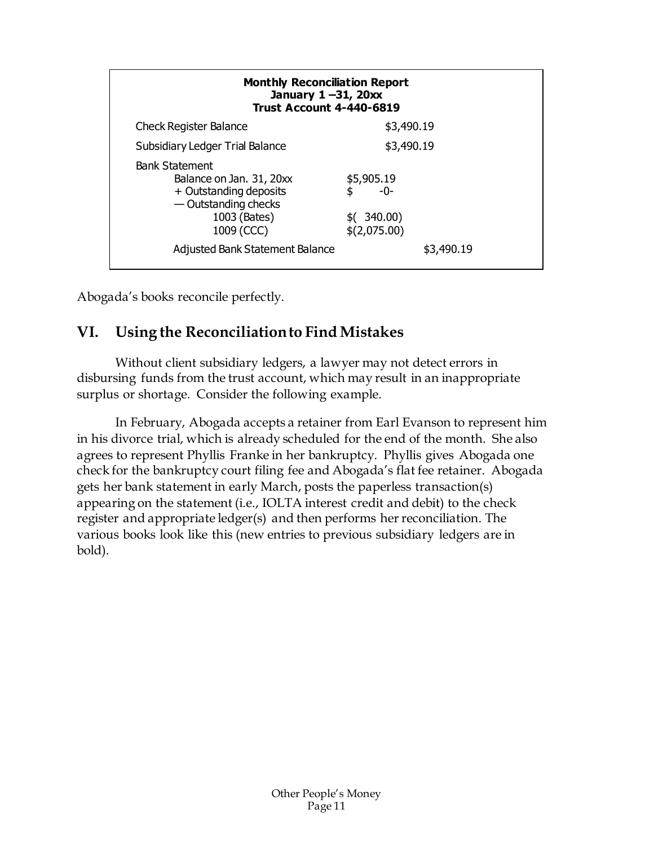| <b>Monthly Reconciliation Report</b><br>January $1 - 31$ , $20xx$<br><b>Trust Account 4-440-6819</b>                              |                                                       |  |  |  |  |  |
|-----------------------------------------------------------------------------------------------------------------------------------|-------------------------------------------------------|--|--|--|--|--|
| <b>Check Register Balance</b>                                                                                                     | \$3,490.19                                            |  |  |  |  |  |
| Subsidiary Ledger Trial Balance                                                                                                   | \$3,490.19                                            |  |  |  |  |  |
| <b>Bank Statement</b><br>Balance on Jan. 31, 20xx<br>+ Outstanding deposits<br>— Outstanding checks<br>1003 (Bates)<br>1009 (CCC) | \$5,905.19<br>\$<br>-0-<br>\$(340.00)<br>\$(2,075.00) |  |  |  |  |  |
| <b>Adjusted Bank Statement Balance</b>                                                                                            | \$3,490.19                                            |  |  |  |  |  |

<span id="page-11-0"></span>Abogada's books reconcile perfectly.

# **VI. Using the Reconciliation to Find Mistakes**

Without client subsidiary ledgers, a lawyer may not detect errors in disbursing funds from the trust account, which may result in an inappropriate surplus or shortage. Consider the following example.

In February, Abogada accepts a retainer from Earl Evanson to represent him in his divorce trial, which is already scheduled for the end of the month. She also agrees to represent Phyllis Franke in her bankruptcy. Phyllis gives Abogada one check for the bankruptcy court filing fee and Abogada's flat fee retainer. Abogada gets her bank statement in early March, posts the paperless transaction(s) appearing on the statement (i.e., IOLTA interest credit and debit) to the check register and appropriate ledger(s) and then performs her reconciliation. The various books look like this (new entries to previous subsidiary ledgers are in bold).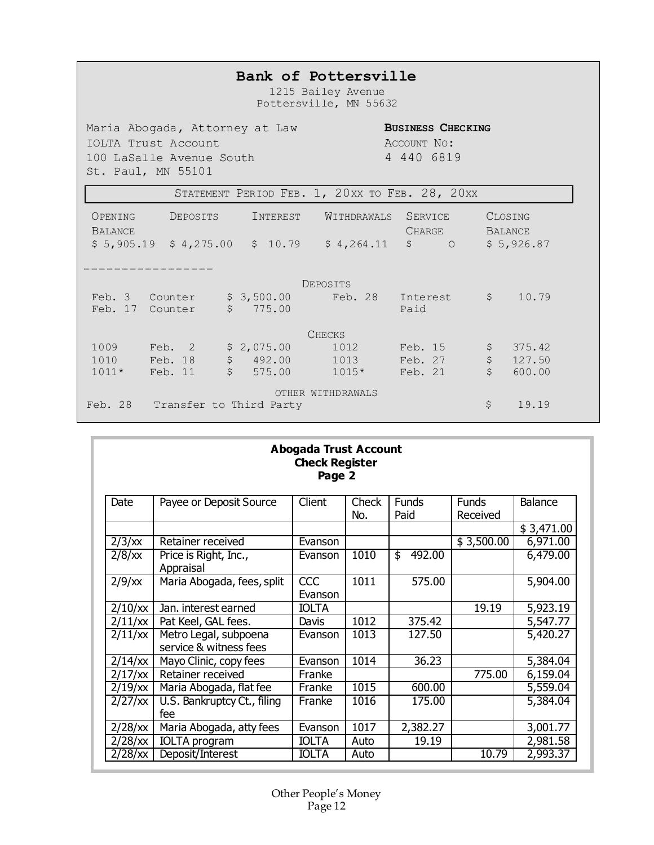### **Bank of Pottersville**

1215 Bailey Avenue Pottersville, MN 55632

Maria Abogada, Attorney at Law **BUSINESS CHECKING**<br>IOLTA Trust Account **ACCOUNT NO**: IOLTA Trust Account<br>100 LaSalle Avenue South 100 4 440 6819 100 LaSalle Avenue South St. Paul, MN 55101

|                           | STATEMENT PERIOD FEB. 1, 20XX TO FEB. 28, 20XX |                                     |                   |                                 |                                          |  |
|---------------------------|------------------------------------------------|-------------------------------------|-------------------|---------------------------------|------------------------------------------|--|
| OPENING<br><b>BALANCE</b> | DEPOSITS                                       | INTEREST                            | WITHDRAWALS       | <b>SERVICE</b><br><b>CHARGE</b> | CLOSING<br><b>BALANCE</b>                |  |
| \$5,905.19                |                                                | $$4,275.00$ $$10.79$                | \$4,264.11        | $\varsigma$<br>$\circ$          | \$5,926.87                               |  |
|                           |                                                |                                     |                   |                                 |                                          |  |
|                           |                                                |                                     | <b>DEPOSITS</b>   |                                 |                                          |  |
| Feb. 3 Counter            |                                                | \$3,500.00                          | Feb. 28           | Interest \$                     | 10.79                                    |  |
| Feb. 17                   | Counter                                        | \$<br>775.00                        |                   | Paid                            |                                          |  |
|                           |                                                |                                     | <b>CHECKS</b>     |                                 |                                          |  |
| 1009                      | Feb. 2                                         | \$2,075.00                          | 1012              | Feb. 15                         | \$<br>375.42                             |  |
| 1010                      | Feb. 18                                        | $\boldsymbol{\mathsf{S}}$<br>492.00 | 1013              | Feb. 27                         | $\boldsymbol{\dot{\varsigma}}$<br>127.50 |  |
| $1011*$                   | Feb. 11                                        | $\ddot{\mathcal{S}}$<br>575.00      | $1015*$           | Feb. 21                         | \$<br>600.00                             |  |
|                           |                                                |                                     | OTHER WITHDRAWALS |                                 |                                          |  |
| Feb. 28                   |                                                | Transfer to Third Party             |                   |                                 | \$<br>19.19                              |  |

| <b>Abogada Trust Account</b><br><b>Check Register</b><br>Page 2 |                                                 |                            |              |                      |                          |            |  |
|-----------------------------------------------------------------|-------------------------------------------------|----------------------------|--------------|----------------------|--------------------------|------------|--|
| Date                                                            | Payee or Deposit Source                         | Client                     | Check<br>No. | <b>Funds</b><br>Paid | <b>Funds</b><br>Received | Balance    |  |
|                                                                 |                                                 |                            |              |                      |                          | \$3,471.00 |  |
| $2/3$ /xx                                                       | Retainer received                               | Evanson                    |              |                      | \$3,500.00               | 6,971.00   |  |
| $2/8$ /xx                                                       | Price is Right, Inc.,<br>Appraisal              | Evanson                    | 1010         | 492.00<br>\$         |                          | 6,479.00   |  |
| $2/9$ /xx                                                       | Maria Abogada, fees, split                      | $\overline{CC}$<br>Evanson | 1011         | 575.00               |                          | 5,904.00   |  |
| 2/10/xx                                                         | Jan. interest earned                            | <b>IOLTA</b>               |              |                      | 19.19                    | 5,923.19   |  |
| 2/11/xx                                                         | Pat Keel, GAL fees.                             | Davis                      | 1012         | 375.42               |                          | 5,547.77   |  |
| 2/11/xx                                                         | Metro Legal, subpoena<br>service & witness fees | Evanson                    | 1013         | 127.50               |                          | 5,420.27   |  |
| $2/14$ / $x$                                                    | Mayo Clinic, copy fees                          | Evanson                    | 1014         | 36.23                |                          | 5,384.04   |  |
| $2/17$ / $\chi$                                                 | Retainer received                               | Franke                     |              |                      | 775.00                   | 6,159.04   |  |
| $2/19$ /xx                                                      | Maria Abogada, flat fee                         | Franke                     | 1015         | 600.00               |                          | 5,559.04   |  |
| $2/27$ /xx                                                      | U.S. Bankruptcy Ct., filing<br>fee              | Franke                     | 1016         | 175.00               |                          | 5,384.04   |  |
| $2/28$ /xx                                                      | Maria Abogada, atty fees                        | Evanson                    | 1017         | 2,382.27             |                          | 3,001.77   |  |
| $2/28$ /xx                                                      | <b>IOLTA</b> program                            | <b>IOLTA</b>               | Auto         | 19.19                |                          | 2,981.58   |  |
| $2/28$ / $x$                                                    | Deposit/Interest                                | <b>IOLTA</b>               | Auto         |                      | 10.79                    | 2,993.37   |  |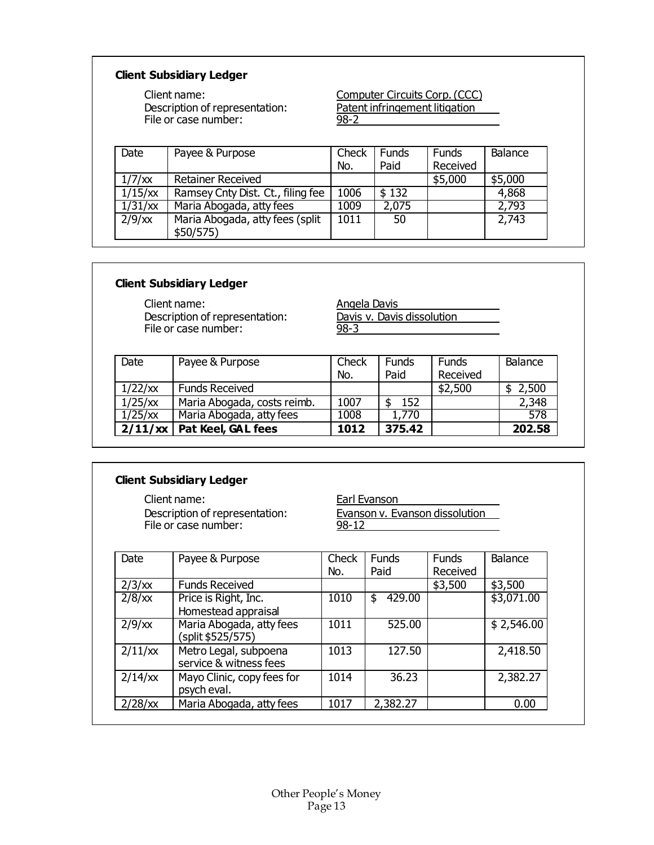#### **Client Subsidiary Ledger**

Description of representation: <u>Patent infringement litigation</u> File or case number: 98-2

Client name: Computer Circuits Corp. (CCC)

| Date      | Payee & Purpose                              | Check<br>No. | <b>Funds</b><br>Paid | <b>Funds</b><br>Received | Balance |
|-----------|----------------------------------------------|--------------|----------------------|--------------------------|---------|
| 1/7/xx    | <b>Retainer Received</b>                     |              |                      | \$5,000                  | \$5,000 |
| 1/15/xx   | Ramsey Cnty Dist. Ct., filing fee            | 1006         | \$132                |                          | 4,868   |
| 1/31/xx   | Maria Abogada, atty fees                     | 1009         | 2,075                |                          | 2,793   |
| $2/9$ /xx | Maria Abogada, atty fees (split<br>\$50/575) | 1011         | 50                   |                          | 2,743   |

#### **Client Subsidiary Ledger**

Client name:<br>
Description of representation:<br>
<u>Davis v. Davis dissolution</u> Description of representation: Davis v. Davis V. David V. Charles Pile or case number: File or case number:

| Date       | Payee & Purpose             | Check<br>No. | <b>Funds</b><br>Paid | <b>Funds</b><br>Received | Balance |
|------------|-----------------------------|--------------|----------------------|--------------------------|---------|
| 1/22/xx    | <b>Funds Received</b>       |              |                      | \$2,500                  | 2,500   |
| 1/25/xx    | Maria Abogada, costs reimb. | 1007         | 152                  |                          | 2,348   |
| $1/25$ /xx | Maria Abogada, atty fees    | 1008         | 1,770                |                          | 578     |
| 2/11/xx    | Pat Keel, GAL fees          | 1012         | 375.42               |                          | 202.58  |

#### **Client Subsidiary Ledger**

Description of representation:<br>File or case number: 98-12 File or case number:

Client name:<br>
Description of representation:<br>
<u>Evanson v. Evanson dissolution</u>

| Date              | Payee & Purpose                                 | Check<br>No. | <b>Funds</b><br>Paid | <b>Funds</b><br>Received | <b>Balance</b> |
|-------------------|-------------------------------------------------|--------------|----------------------|--------------------------|----------------|
| 2/3/xx            | <b>Funds Received</b>                           |              |                      | \$3,500                  | \$3,500        |
| $2/8$ / $x$       | Price is Right, Inc.<br>Homestead appraisal     | 1010         | 429.00<br>\$         |                          | \$3,071.00     |
| $2/9$ / $x$       | Maria Abogada, atty fees<br>(split \$525/575)   | 1011         | 525.00               |                          | \$2,546.00     |
| 2/11/xx           | Metro Legal, subpoena<br>service & witness fees | 1013         | 127.50               |                          | 2,418.50       |
| $2/14$ / $\times$ | Mayo Clinic, copy fees for<br>psych eval.       | 1014         | 36.23                |                          | 2,382.27       |
| $2/28$ /xx        | Maria Abogada, atty fees                        | 1017         | 2,382.27             |                          | 0.00           |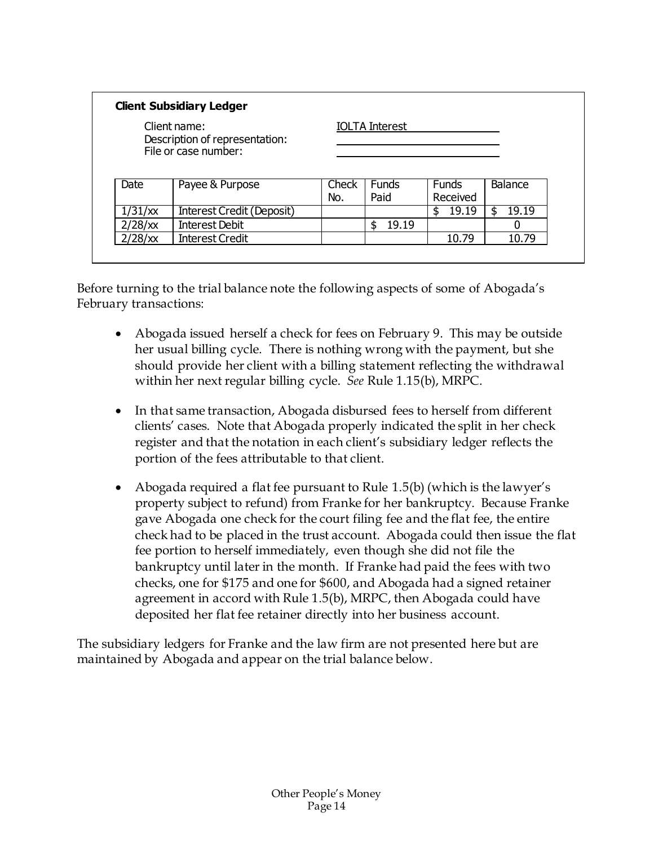| <b>Client Subsidiary Ledger</b>                                        |                                  |              |                       |                          |         |  |  |  |
|------------------------------------------------------------------------|----------------------------------|--------------|-----------------------|--------------------------|---------|--|--|--|
| Client name:<br>Description of representation:<br>File or case number: |                                  |              | <b>IOLTA</b> Interest |                          |         |  |  |  |
|                                                                        |                                  |              |                       |                          |         |  |  |  |
| Date                                                                   | Payee & Purpose                  | Check<br>No. | <b>Funds</b><br>Paid  | <b>Funds</b><br>Received | Balance |  |  |  |
| 1/31/xx                                                                | <b>Interest Credit (Deposit)</b> |              |                       | 19.19<br>S               | 19.19   |  |  |  |
| $2/28$ /xx                                                             | <b>Interest Debit</b>            |              | 19.19<br>\$           |                          |         |  |  |  |

Before turning to the trial balance note the following aspects of some of Abogada's February transactions:

- Abogada issued herself a check for fees on February 9. This may be outside her usual billing cycle. There is nothing wrong with the payment, but she should provide her client with a billing statement reflecting the withdrawal within her next regular billing cycle. *See* Rule 1.15(b), MRPC.
- In that same transaction, Abogada disbursed fees to herself from different clients' cases. Note that Abogada properly indicated the split in her check register and that the notation in each client's subsidiary ledger reflects the portion of the fees attributable to that client.
- Abogada required a flat fee pursuant to Rule 1.5(b) (which is the lawyer's property subject to refund) from Franke for her bankruptcy. Because Franke gave Abogada one check for the court filing fee and the flat fee, the entire check had to be placed in the trust account. Abogada could then issue the flat fee portion to herself immediately, even though she did not file the bankruptcy until later in the month. If Franke had paid the fees with two checks, one for \$175 and one for \$600, and Abogada had a signed retainer agreement in accord with Rule 1.5(b), MRPC, then Abogada could have deposited her flat fee retainer directly into her business account.

The subsidiary ledgers for Franke and the law firm are not presented here but are maintained by Abogada and appear on the trial balance below.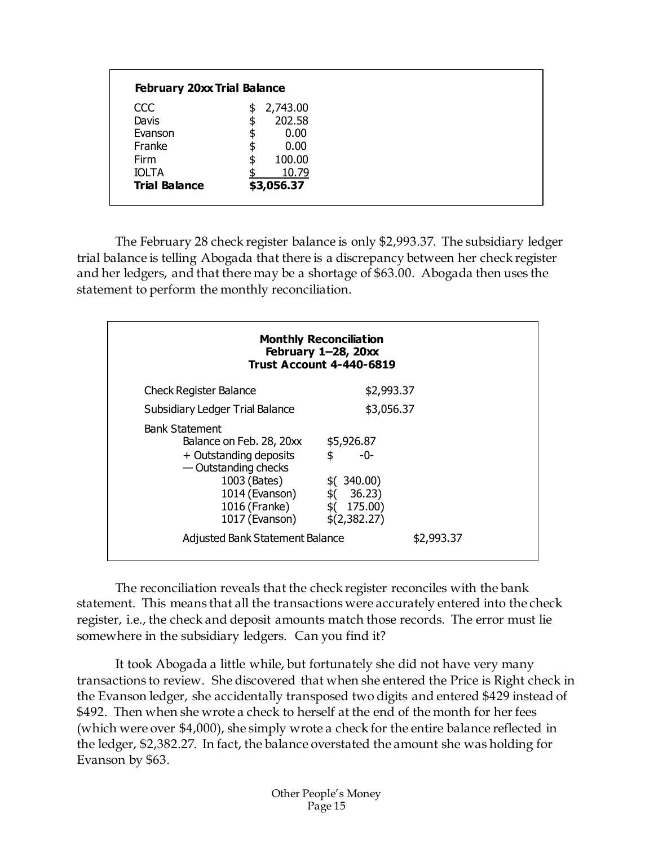| <b>February 20xx Trial Balance</b> |                |  |
|------------------------------------|----------------|--|
| <b>CCC</b>                         | \$<br>2,743.00 |  |
| Davis                              | \$<br>202.58   |  |
| Evanson                            | \$<br>0.00     |  |
| Franke                             | \$<br>0.00     |  |
| Firm                               | \$<br>100.00   |  |
| <b>IOLTA</b>                       | 10.79          |  |
| <b>Trial Balance</b>               | \$3,056.37     |  |

The February 28 check register balance is only \$2,993.37. The subsidiary ledger trial balance is telling Abogada that there is a discrepancy between her check register and her ledgers, and that there may be a shortage of \$63.00. Abogada then uses the statement to perform the monthly reconciliation.

| <b>Monthly Reconciliation</b><br>February 1-28, 20xx<br><b>Trust Account 4-440-6819</b>                                                                                                                            |                                                                                                 |  |  |  |  |  |  |
|--------------------------------------------------------------------------------------------------------------------------------------------------------------------------------------------------------------------|-------------------------------------------------------------------------------------------------|--|--|--|--|--|--|
| <b>Check Register Balance</b>                                                                                                                                                                                      | \$2,993.37                                                                                      |  |  |  |  |  |  |
| <b>Subsidiary Ledger Trial Balance</b>                                                                                                                                                                             | \$3,056.37                                                                                      |  |  |  |  |  |  |
| <b>Bank Statement</b><br>Balance on Feb. 28, 20xx<br>+ Outstanding deposits<br>- Outstanding checks<br>1003 (Bates)<br>1014 (Evanson)<br>1016 (Franke)<br>1017 (Evanson)<br><b>Adjusted Bank Statement Balance</b> | \$5,926.87<br>\$<br>-0-<br>\$(340.00)<br>\$( 36.23)<br>\$(175.00)<br>\$(2,382.27)<br>\$2,993.37 |  |  |  |  |  |  |

The reconciliation reveals that the check register reconciles with the bank statement. This means that all the transactions were accurately entered into the check register, i.e., the check and deposit amounts match those records. The error must lie somewhere in the subsidiary ledgers. Can you find it?

It took Abogada a little while, but fortunately she did not have very many transactions to review. She discovered that when she entered the Price is Right check in the Evanson ledger, she accidentally transposed two digits and entered \$429 instead of \$492. Then when she wrote a check to herself at the end of the month for her fees (which were over \$4,000), she simply wrote a check for the entire balance reflected in the ledger, \$2,382.27. In fact, the balance overstated the amount she was holding for Evanson by \$63.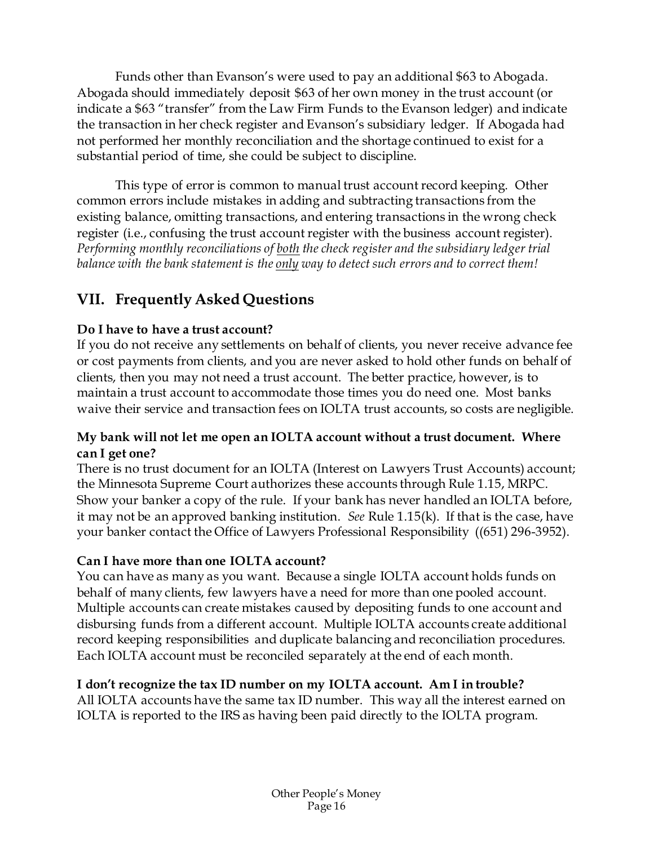Funds other than Evanson's were used to pay an additional \$63 to Abogada. Abogada should immediately deposit \$63 of her own money in the trust account (or indicate a \$63 "transfer" from the Law Firm Funds to the Evanson ledger) and indicate the transaction in her check register and Evanson's subsidiary ledger. If Abogada had not performed her monthly reconciliation and the shortage continued to exist for a substantial period of time, she could be subject to discipline.

This type of error is common to manual trust account record keeping. Other common errors include mistakes in adding and subtracting transactions from the existing balance, omitting transactions, and entering transactions in the wrong check register (i.e., confusing the trust account register with the business account register). *Performing monthly reconciliations of both the check register and the subsidiary ledger trial balance with the bank statement is the only way to detect such errors and to correct them!*

# <span id="page-16-0"></span>**VII. Frequently Asked Questions**

### **Do I have to have a trust account?**

If you do not receive any settlements on behalf of clients, you never receive advance fee or cost payments from clients, and you are never asked to hold other funds on behalf of clients, then you may not need a trust account. The better practice, however, is to maintain a trust account to accommodate those times you do need one. Most banks waive their service and transaction fees on IOLTA trust accounts, so costs are negligible.

#### **My bank will not let me open an IOLTA account without a trust document. Where can I get one?**

There is no trust document for an IOLTA (Interest on Lawyers Trust Accounts) account; the Minnesota Supreme Court authorizes these accounts through Rule 1.15, MRPC. Show your banker a copy of the rule. If your bank has never handled an IOLTA before, it may not be an approved banking institution. *See* Rule 1.15(k). If that is the case, have your banker contact the Office of Lawyers Professional Responsibility ((651) 296-3952).

#### **Can I have more than one IOLTA account?**

You can have as many as you want. Because a single IOLTA account holds funds on behalf of many clients, few lawyers have a need for more than one pooled account. Multiple accounts can create mistakes caused by depositing funds to one account and disbursing funds from a different account. Multiple IOLTA accounts create additional record keeping responsibilities and duplicate balancing and reconciliation procedures. Each IOLTA account must be reconciled separately at the end of each month.

### **I don't recognize the tax ID number on my IOLTA account. Am I in trouble?**

All IOLTA accounts have the same tax ID number. This way all the interest earned on IOLTA is reported to the IRS as having been paid directly to the IOLTA program.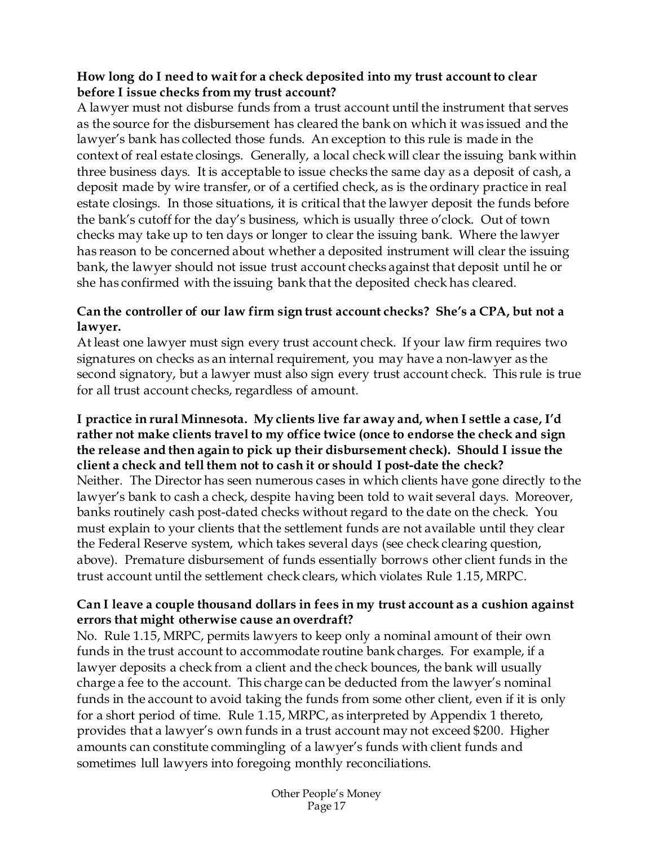#### **How long do I need to wait for a check deposited into my trust account to clear before I issue checks from my trust account?**

A lawyer must not disburse funds from a trust account until the instrument that serves as the source for the disbursement has cleared the bank on which it was issued and the lawyer's bank has collected those funds. An exception to this rule is made in the context of real estate closings. Generally, a local check will clear the issuing bank within three business days. It is acceptable to issue checks the same day as a deposit of cash, a deposit made by wire transfer, or of a certified check, as is the ordinary practice in real estate closings. In those situations, it is critical that the lawyer deposit the funds before the bank's cutoff for the day's business, which is usually three o'clock. Out of town checks may take up to ten days or longer to clear the issuing bank. Where the lawyer has reason to be concerned about whether a deposited instrument will clear the issuing bank, the lawyer should not issue trust account checks against that deposit until he or she has confirmed with the issuing bank that the deposited check has cleared.

### **Can the controller of our law firm sign trust account checks? She's a CPA, but not a lawyer.**

At least one lawyer must sign every trust account check. If your law firm requires two signatures on checks as an internal requirement, you may have a non-lawyer as the second signatory, but a lawyer must also sign every trust account check. This rule is true for all trust account checks, regardless of amount.

**I practice in rural Minnesota. My clients live far away and, when I settle a case, I'd rather not make clients travel to my office twice (once to endorse the check and sign the release and then again to pick up their disbursement check). Should I issue the client a check and tell them not to cash it or should I post-date the check?** Neither. The Director has seen numerous cases in which clients have gone directly to the lawyer's bank to cash a check, despite having been told to wait several days. Moreover, banks routinely cash post-dated checks without regard to the date on the check. You must explain to your clients that the settlement funds are not available until they clear the Federal Reserve system, which takes several days (see check clearing question, above). Premature disbursement of funds essentially borrows other client funds in the trust account until the settlement check clears, which violates Rule 1.15, MRPC.

#### **Can I leave a couple thousand dollars in fees in my trust account as a cushion against errors that might otherwise cause an overdraft?**

No. Rule 1.15, MRPC, permits lawyers to keep only a nominal amount of their own funds in the trust account to accommodate routine bank charges. For example, if a lawyer deposits a check from a client and the check bounces, the bank will usually charge a fee to the account. This charge can be deducted from the lawyer's nominal funds in the account to avoid taking the funds from some other client, even if it is only for a short period of time. Rule 1.15, MRPC, as interpreted by Appendix 1 thereto, provides that a lawyer's own funds in a trust account may not exceed \$200. Higher amounts can constitute commingling of a lawyer's funds with client funds and sometimes lull lawyers into foregoing monthly reconciliations.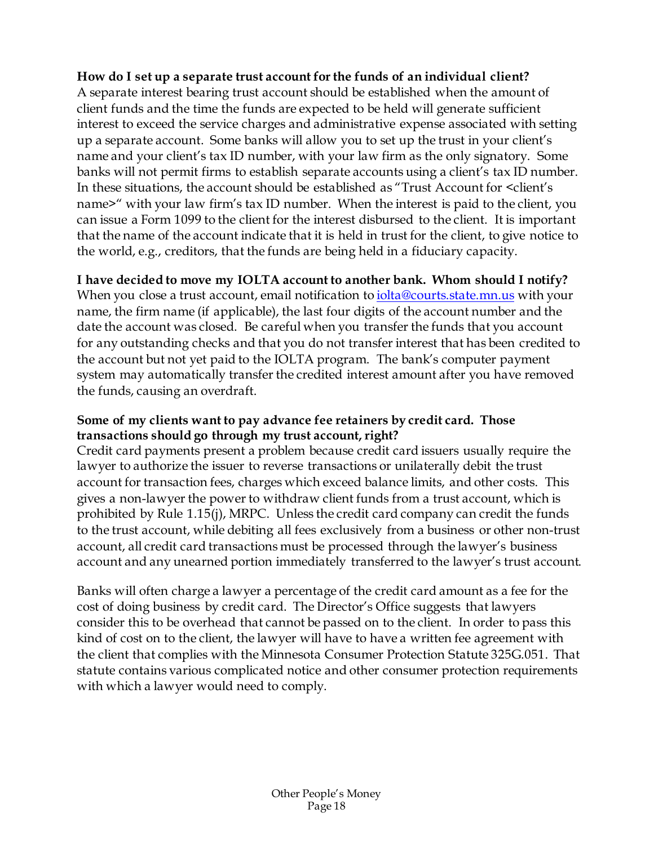#### **How do I set up a separate trust account for the funds of an individual client?**

A separate interest bearing trust account should be established when the amount of client funds and the time the funds are expected to be held will generate sufficient interest to exceed the service charges and administrative expense associated with setting up a separate account. Some banks will allow you to set up the trust in your client's name and your client's tax ID number, with your law firm as the only signatory. Some banks will not permit firms to establish separate accounts using a client's tax ID number. In these situations, the account should be established as "Trust Account for <client's name>" with your law firm's tax ID number. When the interest is paid to the client, you can issue a Form 1099 to the client for the interest disbursed to the client. It is important that the name of the account indicate that it is held in trust for the client, to give notice to the world, e.g., creditors, that the funds are being held in a fiduciary capacity.

#### **I have decided to move my IOLTA account to another bank. Whom should I notify?**

When you close a trust account, email notification to *iolta@courts.state.mn.us* with your name, the firm name (if applicable), the last four digits of the account number and the date the account was closed. Be careful when you transfer the funds that you account for any outstanding checks and that you do not transfer interest that has been credited to the account but not yet paid to the IOLTA program. The bank's computer payment system may automatically transfer the credited interest amount after you have removed the funds, causing an overdraft.

#### **Some of my clients want to pay advance fee retainers by credit card. Those transactions should go through my trust account, right?**

Credit card payments present a problem because credit card issuers usually require the lawyer to authorize the issuer to reverse transactions or unilaterally debit the trust account for transaction fees, charges which exceed balance limits, and other costs. This gives a non-lawyer the power to withdraw client funds from a trust account, which is prohibited by Rule 1.15(j), MRPC. Unless the credit card company can credit the funds to the trust account, while debiting all fees exclusively from a business or other non-trust account, all credit card transactions must be processed through the lawyer's business account and any unearned portion immediately transferred to the lawyer's trust account.

Banks will often charge a lawyer a percentage of the credit card amount as a fee for the cost of doing business by credit card. The Director's Office suggests that lawyers consider this to be overhead that cannot be passed on to the client. In order to pass this kind of cost on to the client, the lawyer will have to have a written fee agreement with the client that complies with the Minnesota Consumer Protection Statute 325G.051. That statute contains various complicated notice and other consumer protection requirements with which a lawyer would need to comply.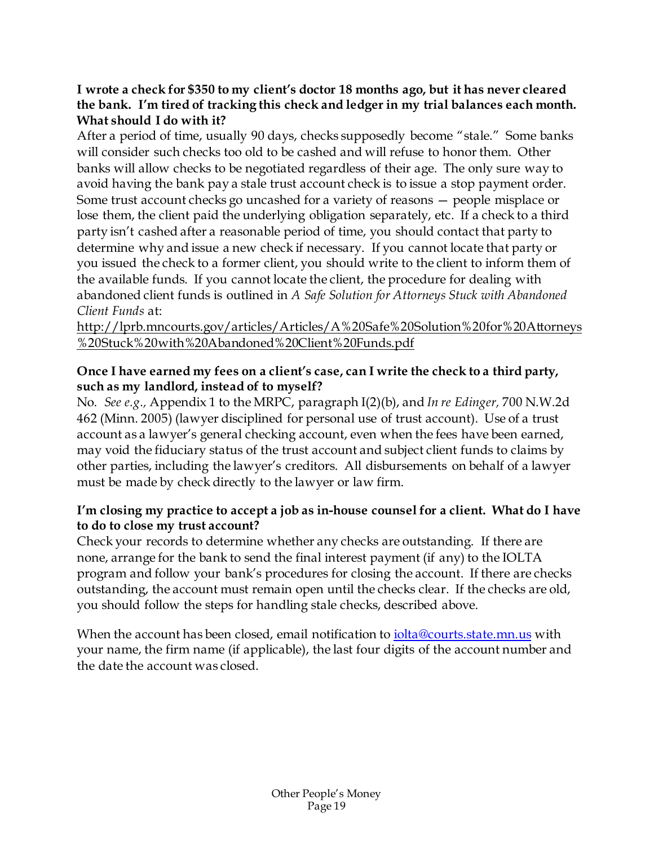#### **I wrote a check for \$350 to my client's doctor 18 months ago, but it has never cleared the bank. I'm tired of tracking this check and ledger in my trial balances each month. What should I do with it?**

After a period of time, usually 90 days, checks supposedly become "stale." Some banks will consider such checks too old to be cashed and will refuse to honor them. Other banks will allow checks to be negotiated regardless of their age. The only sure way to avoid having the bank pay a stale trust account check is to issue a stop payment order. Some trust account checks go uncashed for a variety of reasons — people misplace or lose them, the client paid the underlying obligation separately, etc. If a check to a third party isn't cashed after a reasonable period of time, you should contact that party to determine why and issue a new check if necessary. If you cannot locate that party or you issued the check to a former client, you should write to the client to inform them of the available funds. If you cannot locate the client, the procedure for dealing with abandoned client funds is outlined in *A Safe Solution for Attorneys Stuck with Abandoned Client Funds* at:

[http://lprb.mncourts.gov/articles/Articles/A%20Safe%20Solution%20for%20Attorneys](http://lprb.mncourts.gov/articles/Articles/A%20Safe%20Solution%20for%20Attorneys%20Stuck%20with%20Abandoned%20Client%20Funds.pdf) [%20Stuck%20with%20Abandoned%20Client%20Funds.pdf](http://lprb.mncourts.gov/articles/Articles/A%20Safe%20Solution%20for%20Attorneys%20Stuck%20with%20Abandoned%20Client%20Funds.pdf)

#### **Once I have earned my fees on a client's case, can I write the check to a third party, such as my landlord, instead of to myself?**

No. *See e.g.,* Appendix 1 to the MRPC, paragraph I(2)(b), and *In re Edinger,* 700 N.W.2d 462 (Minn. 2005) (lawyer disciplined for personal use of trust account). Use of a trust account as a lawyer's general checking account, even when the fees have been earned, may void the fiduciary status of the trust account and subject client funds to claims by other parties, including the lawyer's creditors. All disbursements on behalf of a lawyer must be made by check directly to the lawyer or law firm.

#### **I'm closing my practice to accept a job as in-house counsel for a client. What do I have to do to close my trust account?**

Check your records to determine whether any checks are outstanding. If there are none, arrange for the bank to send the final interest payment (if any) to the IOLTA program and follow your bank's procedures for closing the account. If there are checks outstanding, the account must remain open until the checks clear. If the checks are old, you should follow the steps for handling stale checks, described above.

When the account has been closed, email notification to [iolta@courts.state.mn.us](mailto:iolta@courts.state.mn.us) with your name, the firm name (if applicable), the last four digits of the account number and the date the account was closed.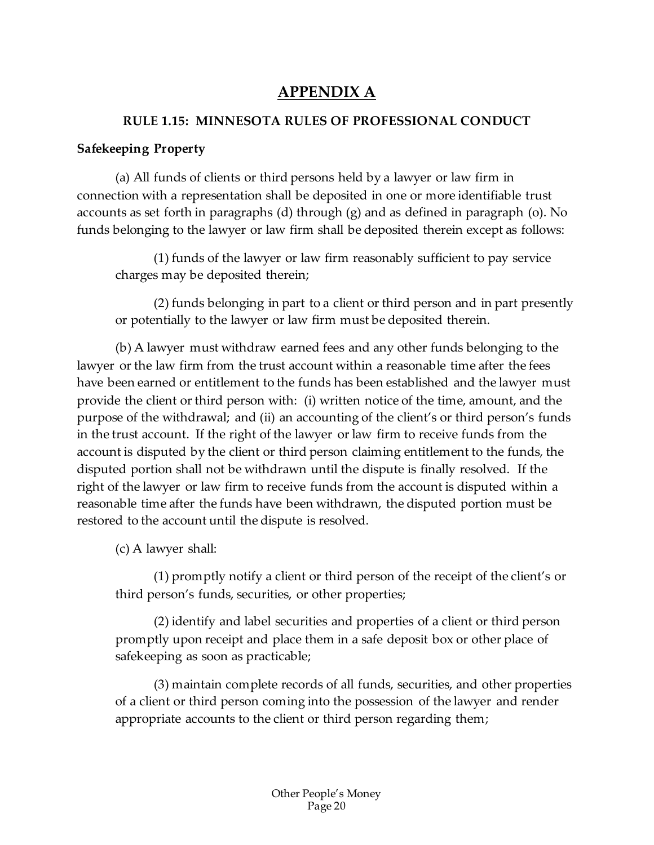# **APPENDIX A**

### <span id="page-20-0"></span>**RULE 1.15: MINNESOTA RULES OF PROFESSIONAL CONDUCT**

### **Safekeeping Property**

(a) All funds of clients or third persons held by a lawyer or law firm in connection with a representation shall be deposited in one or more identifiable trust accounts as set forth in paragraphs (d) through (g) and as defined in paragraph (o). No funds belonging to the lawyer or law firm shall be deposited therein except as follows:

(1) funds of the lawyer or law firm reasonably sufficient to pay service charges may be deposited therein;

(2) funds belonging in part to a client or third person and in part presently or potentially to the lawyer or law firm must be deposited therein.

(b) A lawyer must withdraw earned fees and any other funds belonging to the lawyer or the law firm from the trust account within a reasonable time after the fees have been earned or entitlement to the funds has been established and the lawyer must provide the client or third person with: (i) written notice of the time, amount, and the purpose of the withdrawal; and (ii) an accounting of the client's or third person's funds in the trust account. If the right of the lawyer or law firm to receive funds from the account is disputed by the client or third person claiming entitlement to the funds, the disputed portion shall not be withdrawn until the dispute is finally resolved. If the right of the lawyer or law firm to receive funds from the account is disputed within a reasonable time after the funds have been withdrawn, the disputed portion must be restored to the account until the dispute is resolved.

(c) A lawyer shall:

(1) promptly notify a client or third person of the receipt of the client's or third person's funds, securities, or other properties;

(2) identify and label securities and properties of a client or third person promptly upon receipt and place them in a safe deposit box or other place of safekeeping as soon as practicable;

(3) maintain complete records of all funds, securities, and other properties of a client or third person coming into the possession of the lawyer and render appropriate accounts to the client or third person regarding them;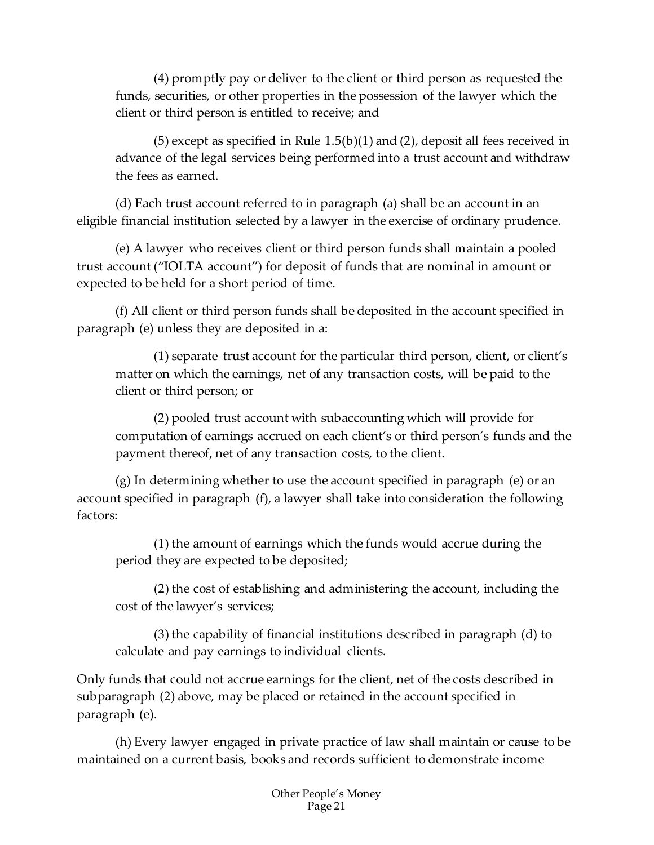(4) promptly pay or deliver to the client or third person as requested the funds, securities, or other properties in the possession of the lawyer which the client or third person is entitled to receive; and

(5) except as specified in Rule 1.5(b)(1) and (2), deposit all fees received in advance of the legal services being performed into a trust account and withdraw the fees as earned.

(d) Each trust account referred to in paragraph (a) shall be an account in an eligible financial institution selected by a lawyer in the exercise of ordinary prudence.

(e) A lawyer who receives client or third person funds shall maintain a pooled trust account ("IOLTA account") for deposit of funds that are nominal in amount or expected to be held for a short period of time.

(f) All client or third person funds shall be deposited in the account specified in paragraph (e) unless they are deposited in a:

(1) separate trust account for the particular third person, client, or client's matter on which the earnings, net of any transaction costs, will be paid to the client or third person; or

(2) pooled trust account with subaccounting which will provide for computation of earnings accrued on each client's or third person's funds and the payment thereof, net of any transaction costs, to the client.

(g) In determining whether to use the account specified in paragraph (e) or an account specified in paragraph (f), a lawyer shall take into consideration the following factors:

(1) the amount of earnings which the funds would accrue during the period they are expected to be deposited;

(2) the cost of establishing and administering the account, including the cost of the lawyer's services;

(3) the capability of financial institutions described in paragraph (d) to calculate and pay earnings to individual clients.

Only funds that could not accrue earnings for the client, net of the costs described in subparagraph (2) above, may be placed or retained in the account specified in paragraph (e).

(h) Every lawyer engaged in private practice of law shall maintain or cause to be maintained on a current basis, books and records sufficient to demonstrate income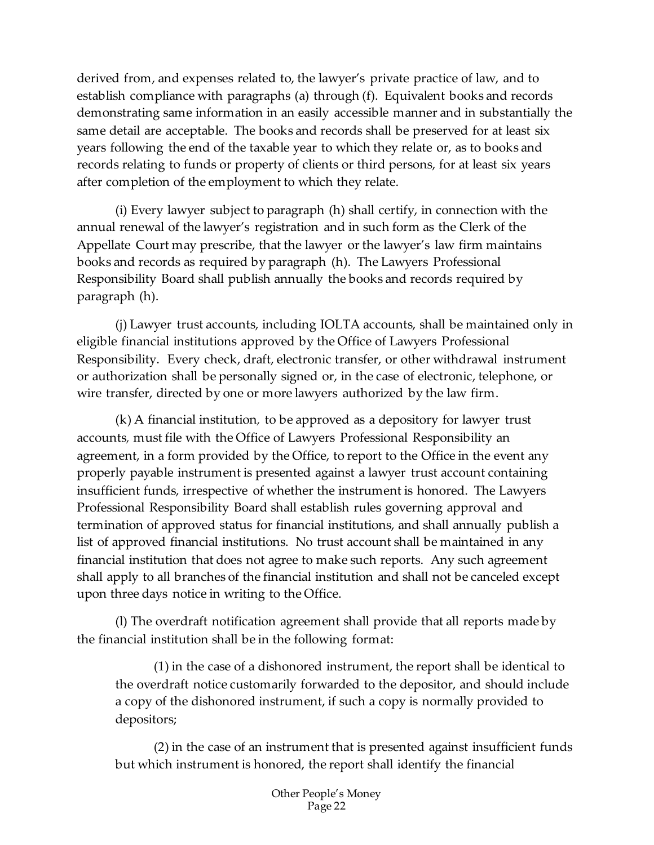derived from, and expenses related to, the lawyer's private practice of law, and to establish compliance with paragraphs (a) through (f). Equivalent books and records demonstrating same information in an easily accessible manner and in substantially the same detail are acceptable. The books and records shall be preserved for at least six years following the end of the taxable year to which they relate or, as to books and records relating to funds or property of clients or third persons, for at least six years after completion of the employment to which they relate.

(i) Every lawyer subject to paragraph (h) shall certify, in connection with the annual renewal of the lawyer's registration and in such form as the Clerk of the Appellate Court may prescribe, that the lawyer or the lawyer's law firm maintains books and records as required by paragraph (h). The Lawyers Professional Responsibility Board shall publish annually the books and records required by paragraph (h).

(j) Lawyer trust accounts, including IOLTA accounts, shall be maintained only in eligible financial institutions approved by the Office of Lawyers Professional Responsibility. Every check, draft, electronic transfer, or other withdrawal instrument or authorization shall be personally signed or, in the case of electronic, telephone, or wire transfer, directed by one or more lawyers authorized by the law firm.

(k) A financial institution*,* to be approved as a depository for lawyer trust accounts*,* must file with the Office of Lawyers Professional Responsibility an agreement, in a form provided by the Office, to report to the Office in the event any properly payable instrument is presented against a lawyer trust account containing insufficient funds, irrespective of whether the instrument is honored. The Lawyers Professional Responsibility Board shall establish rules governing approval and termination of approved status for financial institutions, and shall annually publish a list of approved financial institutions. No trust account shall be maintained in any financial institution that does not agree to make such reports. Any such agreement shall apply to all branches of the financial institution and shall not be canceled except upon three days notice in writing to the Office.

(l) The overdraft notification agreement shall provide that all reports made by the financial institution shall be in the following format:

(1) in the case of a dishonored instrument, the report shall be identical to the overdraft notice customarily forwarded to the depositor, and should include a copy of the dishonored instrument, if such a copy is normally provided to depositors;

(2) in the case of an instrument that is presented against insufficient funds but which instrument is honored, the report shall identify the financial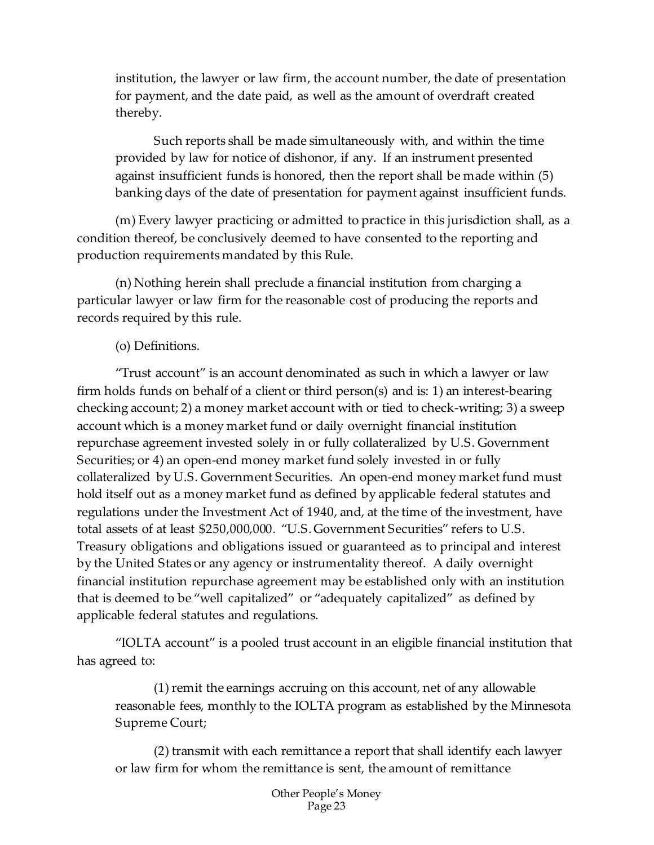institution, the lawyer or law firm, the account number, the date of presentation for payment, and the date paid, as well as the amount of overdraft created thereby.

Such reports shall be made simultaneously with, and within the time provided by law for notice of dishonor, if any. If an instrument presented against insufficient funds is honored, then the report shall be made within (5) banking days of the date of presentation for payment against insufficient funds.

(m) Every lawyer practicing or admitted to practice in this jurisdiction shall, as a condition thereof, be conclusively deemed to have consented to the reporting and production requirements mandated by this Rule.

(n) Nothing herein shall preclude a financial institution from charging a particular lawyer or law firm for the reasonable cost of producing the reports and records required by this rule.

### (o) Definitions.

"Trust account" is an account denominated as such in which a lawyer or law firm holds funds on behalf of a client or third person(s) and is: 1) an interest-bearing checking account; 2) a money market account with or tied to check-writing; 3) a sweep account which is a money market fund or daily overnight financial institution repurchase agreement invested solely in or fully collateralized by U.S. Government Securities; or 4) an open-end money market fund solely invested in or fully collateralized by U.S. Government Securities. An open-end money market fund must hold itself out as a money market fund as defined by applicable federal statutes and regulations under the Investment Act of 1940, and, at the time of the investment, have total assets of at least \$250,000,000. "U.S. Government Securities" refers to U.S. Treasury obligations and obligations issued or guaranteed as to principal and interest by the United States or any agency or instrumentality thereof. A daily overnight financial institution repurchase agreement may be established only with an institution that is deemed to be "well capitalized" or "adequately capitalized" as defined by applicable federal statutes and regulations.

"IOLTA account" is a pooled trust account in an eligible financial institution that has agreed to:

(1) remit the earnings accruing on this account, net of any allowable reasonable fees, monthly to the IOLTA program as established by the Minnesota Supreme Court;

(2) transmit with each remittance a report that shall identify each lawyer or law firm for whom the remittance is sent, the amount of remittance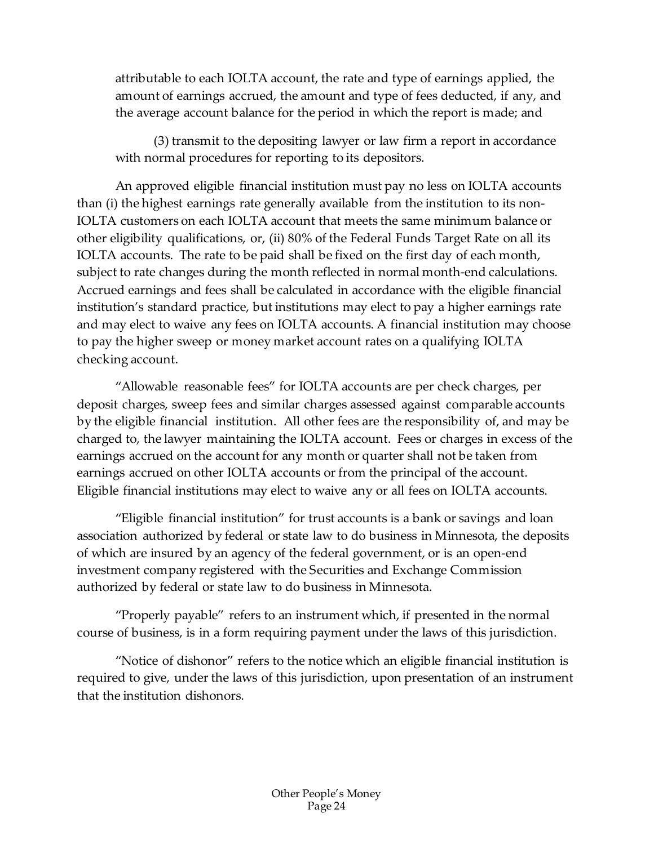attributable to each IOLTA account, the rate and type of earnings applied, the amount of earnings accrued, the amount and type of fees deducted, if any, and the average account balance for the period in which the report is made; and

(3) transmit to the depositing lawyer or law firm a report in accordance with normal procedures for reporting to its depositors.

An approved eligible financial institution must pay no less on IOLTA accounts than (i) the highest earnings rate generally available from the institution to its non-IOLTA customers on each IOLTA account that meets the same minimum balance or other eligibility qualifications, or, (ii) 80% of the Federal Funds Target Rate on all its IOLTA accounts. The rate to be paid shall be fixed on the first day of each month, subject to rate changes during the month reflected in normal month-end calculations. Accrued earnings and fees shall be calculated in accordance with the eligible financial institution's standard practice, but institutions may elect to pay a higher earnings rate and may elect to waive any fees on IOLTA accounts. A financial institution may choose to pay the higher sweep or money market account rates on a qualifying IOLTA checking account.

"Allowable reasonable fees" for IOLTA accounts are per check charges, per deposit charges, sweep fees and similar charges assessed against comparable accounts by the eligible financial institution. All other fees are the responsibility of, and may be charged to, the lawyer maintaining the IOLTA account. Fees or charges in excess of the earnings accrued on the account for any month or quarter shall not be taken from earnings accrued on other IOLTA accounts or from the principal of the account. Eligible financial institutions may elect to waive any or all fees on IOLTA accounts.

"Eligible financial institution" for trust accounts is a bank or savings and loan association authorized by federal or state law to do business in Minnesota, the deposits of which are insured by an agency of the federal government, or is an open-end investment company registered with the Securities and Exchange Commission authorized by federal or state law to do business in Minnesota.

"Properly payable" refers to an instrument which, if presented in the normal course of business, is in a form requiring payment under the laws of this jurisdiction.

"Notice of dishonor" refers to the notice which an eligible financial institution is required to give, under the laws of this jurisdiction, upon presentation of an instrument that the institution dishonors.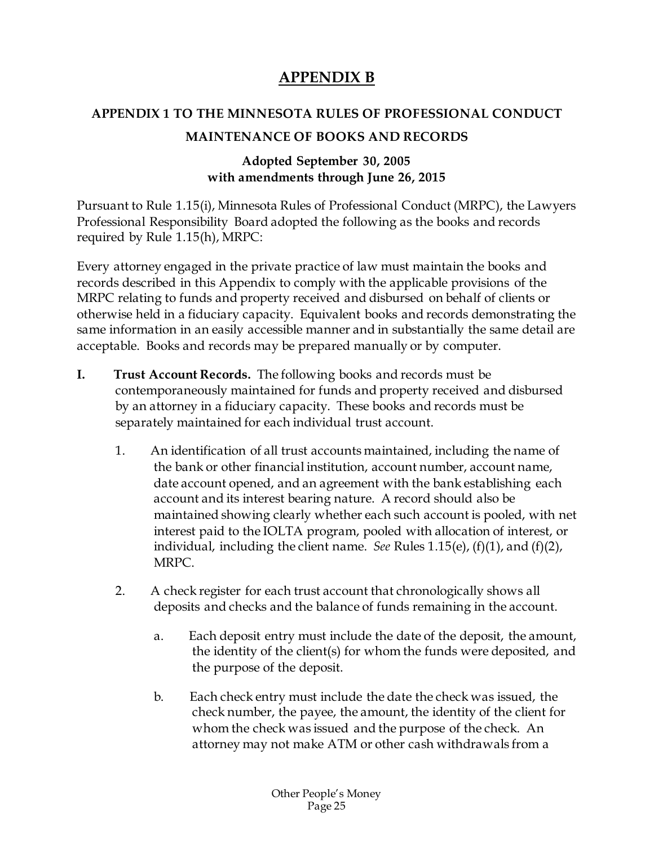# **APPENDIX B**

# <span id="page-25-0"></span>**APPENDIX 1 TO THE MINNESOTA RULES OF PROFESSIONAL CONDUCT**

### **MAINTENANCE OF BOOKS AND RECORDS**

### **Adopted September 30, 2005 with amendments through June 26, 2015**

Pursuant to Rule 1.15(i), Minnesota Rules of Professional Conduct (MRPC), the Lawyers Professional Responsibility Board adopted the following as the books and records required by Rule 1.15(h), MRPC:

Every attorney engaged in the private practice of law must maintain the books and records described in this Appendix to comply with the applicable provisions of the MRPC relating to funds and property received and disbursed on behalf of clients or otherwise held in a fiduciary capacity. Equivalent books and records demonstrating the same information in an easily accessible manner and in substantially the same detail are acceptable. Books and records may be prepared manually or by computer.

- **I. Trust Account Records.** The following books and records must be contemporaneously maintained for funds and property received and disbursed by an attorney in a fiduciary capacity. These books and records must be separately maintained for each individual trust account.
	- 1. An identification of all trust accounts maintained, including the name of the bank or other financial institution, account number, account name, date account opened, and an agreement with the bank establishing each account and its interest bearing nature. A record should also be maintained showing clearly whether each such account is pooled, with net interest paid to the IOLTA program, pooled with allocation of interest, or individual, including the client name. *See* Rules 1.15(e), (f)(1), and (f)(2), MRPC.
	- 2. A check register for each trust account that chronologically shows all deposits and checks and the balance of funds remaining in the account.
		- a. Each deposit entry must include the date of the deposit, the amount, the identity of the client(s) for whom the funds were deposited, and the purpose of the deposit.
		- b. Each check entry must include the date the check was issued, the check number, the payee, the amount, the identity of the client for whom the check was issued and the purpose of the check. An attorney may not make ATM or other cash withdrawals from a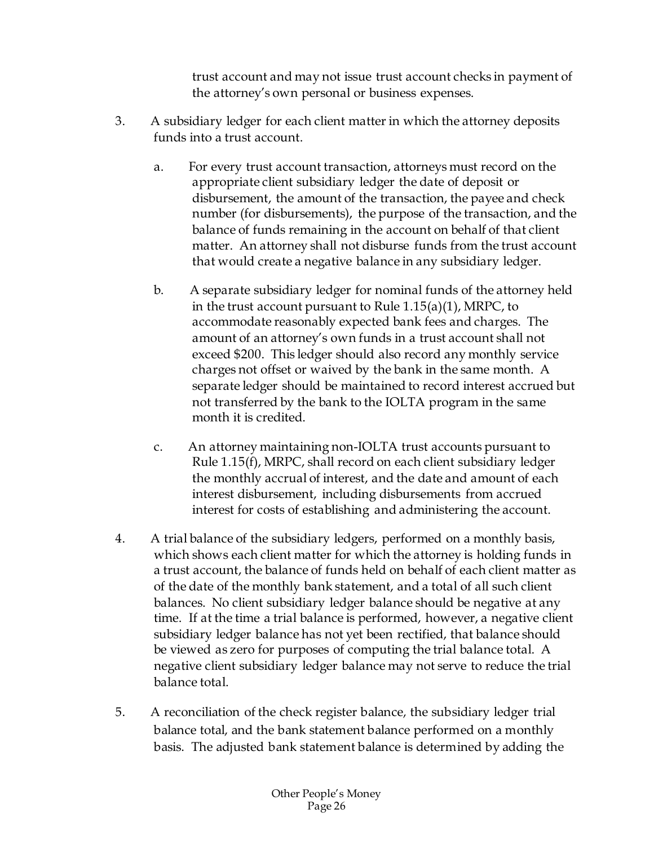trust account and may not issue trust account checks in payment of the attorney's own personal or business expenses.

- 3. A subsidiary ledger for each client matter in which the attorney deposits funds into a trust account.
	- a. For every trust account transaction, attorneys must record on the appropriate client subsidiary ledger the date of deposit or disbursement, the amount of the transaction, the payee and check number (for disbursements), the purpose of the transaction, and the balance of funds remaining in the account on behalf of that client matter. An attorney shall not disburse funds from the trust account that would create a negative balance in any subsidiary ledger.
	- b. A separate subsidiary ledger for nominal funds of the attorney held in the trust account pursuant to Rule 1.15(a)(1), MRPC, to accommodate reasonably expected bank fees and charges. The amount of an attorney's own funds in a trust account shall not exceed \$200. This ledger should also record any monthly service charges not offset or waived by the bank in the same month. A separate ledger should be maintained to record interest accrued but not transferred by the bank to the IOLTA program in the same month it is credited.
	- c. An attorney maintaining non-IOLTA trust accounts pursuant to Rule 1.15(f), MRPC, shall record on each client subsidiary ledger the monthly accrual of interest, and the date and amount of each interest disbursement, including disbursements from accrued interest for costs of establishing and administering the account.
- 4. A trial balance of the subsidiary ledgers, performed on a monthly basis, which shows each client matter for which the attorney is holding funds in a trust account, the balance of funds held on behalf of each client matter as of the date of the monthly bank statement, and a total of all such client balances. No client subsidiary ledger balance should be negative at any time. If at the time a trial balance is performed, however, a negative client subsidiary ledger balance has not yet been rectified, that balance should be viewed as zero for purposes of computing the trial balance total. A negative client subsidiary ledger balance may not serve to reduce the trial balance total.
- 5. A reconciliation of the check register balance, the subsidiary ledger trial balance total, and the bank statement balance performed on a monthly basis. The adjusted bank statement balance is determined by adding the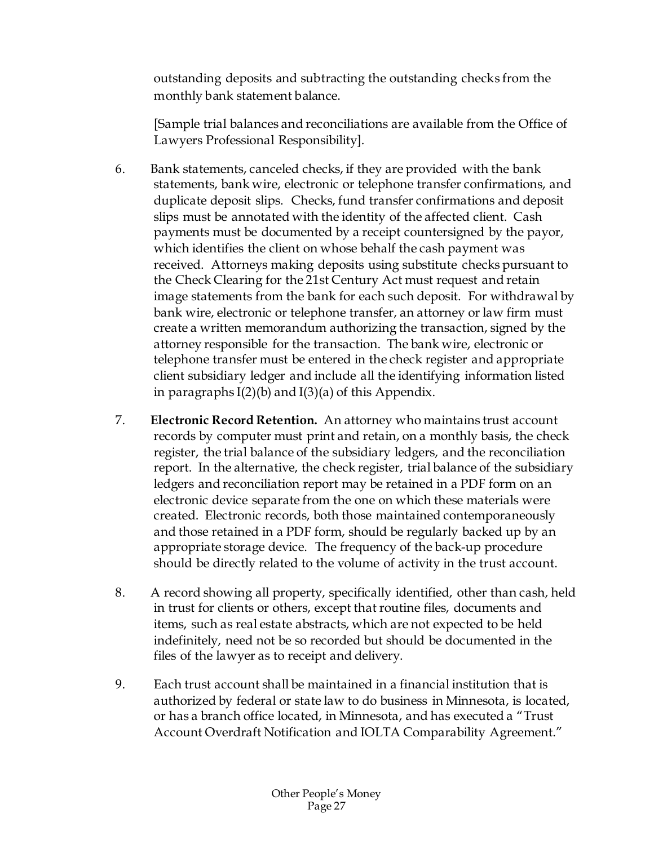outstanding deposits and subtracting the outstanding checks from the monthly bank statement balance.

[Sample trial balances and reconciliations are available from the Office of Lawyers Professional Responsibility].

- 6. Bank statements, canceled checks, if they are provided with the bank statements, bank wire, electronic or telephone transfer confirmations, and duplicate deposit slips. Checks, fund transfer confirmations and deposit slips must be annotated with the identity of the affected client. Cash payments must be documented by a receipt countersigned by the payor, which identifies the client on whose behalf the cash payment was received. Attorneys making deposits using substitute checks pursuant to the Check Clearing for the 21st Century Act must request and retain image statements from the bank for each such deposit. For withdrawal by bank wire, electronic or telephone transfer, an attorney or law firm must create a written memorandum authorizing the transaction, signed by the attorney responsible for the transaction. The bank wire, electronic or telephone transfer must be entered in the check register and appropriate client subsidiary ledger and include all the identifying information listed in paragraphs  $I(2)(b)$  and  $I(3)(a)$  of this Appendix.
- 7. **Electronic Record Retention.** An attorney who maintains trust account records by computer must print and retain, on a monthly basis, the check register, the trial balance of the subsidiary ledgers, and the reconciliation report. In the alternative, the check register, trial balance of the subsidiary ledgers and reconciliation report may be retained in a PDF form on an electronic device separate from the one on which these materials were created. Electronic records, both those maintained contemporaneously and those retained in a PDF form, should be regularly backed up by an appropriate storage device. The frequency of the back-up procedure should be directly related to the volume of activity in the trust account.
- 8. A record showing all property, specifically identified, other than cash, held in trust for clients or others, except that routine files, documents and items, such as real estate abstracts, which are not expected to be held indefinitely, need not be so recorded but should be documented in the files of the lawyer as to receipt and delivery.
- 9. Each trust account shall be maintained in a financial institution that is authorized by federal or state law to do business in Minnesota, is located, or has a branch office located, in Minnesota, and has executed a "Trust Account Overdraft Notification and IOLTA Comparability Agreement."